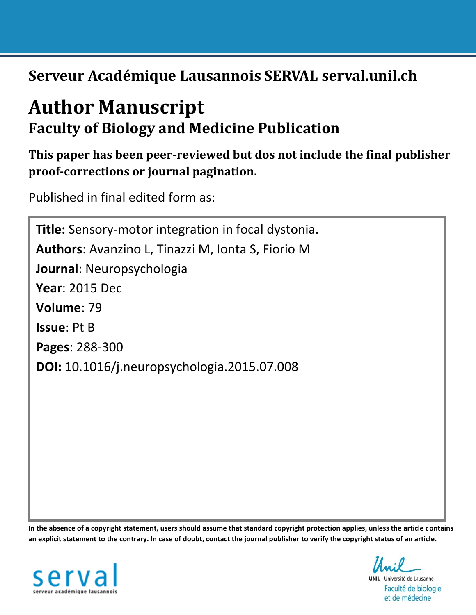**Serveur Académique Lausannois SERVAL serval.unil.ch**

# **Author Manuscript Faculty of Biology and Medicine Publication**

**This paper has been peer-reviewed but dos not include the final publisher proof-corrections or journal pagination.**

Published in final edited form as:

**Title:** Sensory-motor integration in focal dystonia. **Authors**: Avanzino L, Tinazzi M, Ionta S, Fiorio M **Journal**: Neuropsychologia **Year**: 2015 Dec **Volume**: 79 **Issue**: Pt B **Pages**: 288-300 **DOI:** [10.1016/j.neuropsychologia.2015.07.008](http://dx.doi.org/10.1016/j.neuropsychologia.2015.07.008)

**In the absence of a copyright statement, users should assume that standard copyright protection applies, unless the article contains an explicit statement to the contrary. In case of doubt, contact the journal publisher to verify the copyright status of an article.**



**UNIL** | Université de Lausanne Faculté de biologie et de médecine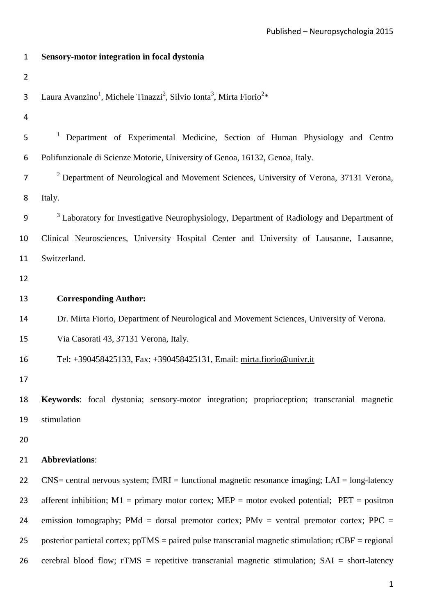| 1              | Sensory-motor integration in focal dystonia                                                                         |
|----------------|---------------------------------------------------------------------------------------------------------------------|
| $\overline{2}$ |                                                                                                                     |
| 3              | Laura Avanzino <sup>1</sup> , Michele Tinazzi <sup>2</sup> , Silvio Ionta <sup>3</sup> , Mirta Fiorio <sup>2*</sup> |
| 4              |                                                                                                                     |
| 5              | <sup>1</sup> Department of Experimental Medicine, Section of Human Physiology and Centro                            |
| 6              | Polifunzionale di Scienze Motorie, University of Genoa, 16132, Genoa, Italy.                                        |
| 7              | <sup>2</sup> Department of Neurological and Movement Sciences, University of Verona, 37131 Verona,                  |
| 8              | Italy.                                                                                                              |
| 9              | <sup>3</sup> Laboratory for Investigative Neurophysiology, Department of Radiology and Department of                |
| 10             | Clinical Neurosciences, University Hospital Center and University of Lausanne, Lausanne,                            |
| 11             | Switzerland.                                                                                                        |
| 12             |                                                                                                                     |
| 13             | <b>Corresponding Author:</b>                                                                                        |
| 14             | Dr. Mirta Fiorio, Department of Neurological and Movement Sciences, University of Verona.                           |
| 15             | Via Casorati 43, 37131 Verona, Italy.                                                                               |
| 16             | Tel: +390458425133, Fax: +390458425131, Email: mirta.fiorio@univr.it                                                |
| 17             |                                                                                                                     |
| 18             | Keywords: focal dystonia; sensory-motor integration; proprioception; transcranial magnetic                          |
| 19             | stimulation                                                                                                         |
| 20             |                                                                                                                     |
| 21             | <b>Abbreviations:</b>                                                                                               |
| 22             | $CNS =$ central nervous system; fMRI = functional magnetic resonance imaging; LAI = long-latency                    |
| 23             | afferent inhibition; $M1$ = primary motor cortex; $MEP$ = motor evoked potential; $PET$ = positron                  |
| 24             | emission tomography; PMd = dorsal premotor cortex; PMv = ventral premotor cortex; PPC =                             |
| 25             | posterior partietal cortex; $ppTMS =$ paired pulse transcranial magnetic stimulation; $rCBF =$ regional             |
| 26             | cerebral blood flow; $rTMS$ = repetitive transcranial magnetic stimulation; $SAI$ = short-latency                   |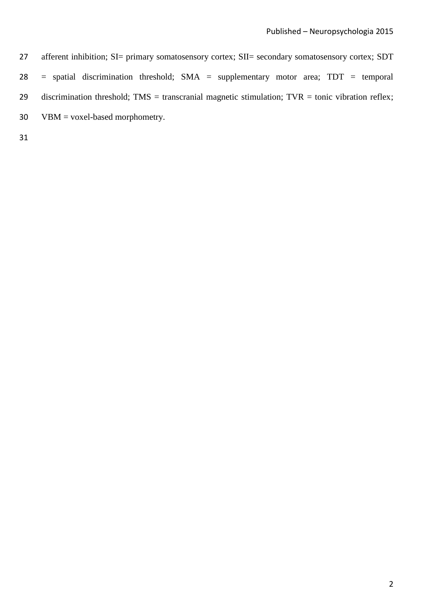27 afferent inhibition; SI= primary somatosensory cortex; SII= secondary somatosensory cortex; SDT 28 = spatial discrimination threshold; SMA = supplementary motor area; TDT = temporal 29 discrimination threshold;  $TMS =$  transcranial magnetic stimulation;  $TVR =$  tonic vibration reflex; 30 VBM = voxel-based morphometry.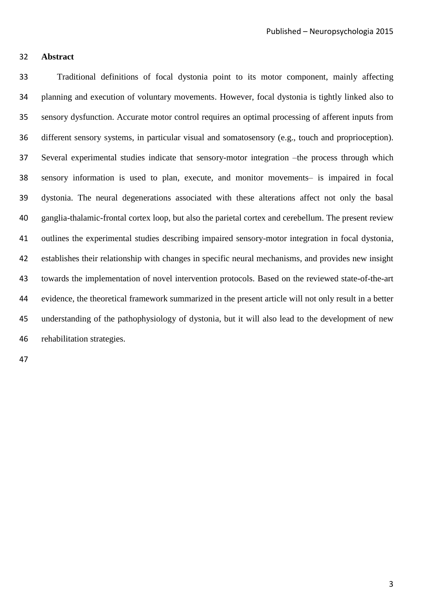# **Abstract**

 Traditional definitions of focal dystonia point to its motor component, mainly affecting planning and execution of voluntary movements. However, focal dystonia is tightly linked also to sensory dysfunction. Accurate motor control requires an optimal processing of afferent inputs from different sensory systems, in particular visual and somatosensory (e.g., touch and proprioception). Several experimental studies indicate that sensory-motor integration –the process through which sensory information is used to plan, execute, and monitor movements– is impaired in focal dystonia. The neural degenerations associated with these alterations affect not only the basal ganglia-thalamic-frontal cortex loop, but also the parietal cortex and cerebellum. The present review outlines the experimental studies describing impaired sensory-motor integration in focal dystonia, establishes their relationship with changes in specific neural mechanisms, and provides new insight towards the implementation of novel intervention protocols. Based on the reviewed state-of-the-art evidence, the theoretical framework summarized in the present article will not only result in a better understanding of the pathophysiology of dystonia, but it will also lead to the development of new rehabilitation strategies.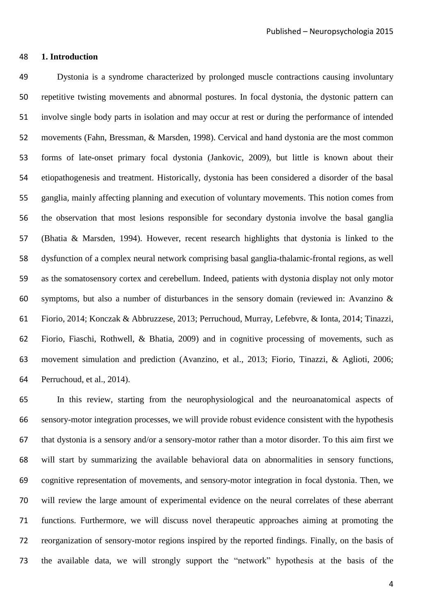# **1. Introduction**

 Dystonia is a syndrome characterized by prolonged muscle contractions causing involuntary repetitive twisting movements and abnormal postures. In focal dystonia, the dystonic pattern can involve single body parts in isolation and may occur at rest or during the performance of intended movements [\(Fahn, Bressman, & Marsden, 1998\)](#page-32-0). Cervical and hand dystonia are the most common forms of late-onset primary focal dystonia [\(Jankovic, 2009\)](#page-33-0), but little is known about their etiopathogenesis and treatment. Historically, dystonia has been considered a disorder of the basal ganglia, mainly affecting planning and execution of voluntary movements. This notion comes from the observation that most lesions responsible for secondary dystonia involve the basal ganglia [\(Bhatia & Marsden, 1994\)](#page-30-0). However, recent research highlights that dystonia is linked to the dysfunction of a complex neural network comprising basal ganglia-thalamic-frontal regions, as well as the somatosensory cortex and cerebellum. Indeed, patients with dystonia display not only motor symptoms, but also a number of disturbances in the sensory domain (reviewed in: [Avanzino &](#page-30-1)  [Fiorio, 2014;](#page-30-1) [Konczak & Abbruzzese, 2013;](#page-34-0) [Perruchoud, Murray, Lefebvre, & Ionta, 2014;](#page-35-0) [Tinazzi,](#page-37-0)  [Fiorio, Fiaschi, Rothwell, & Bhatia, 2009\)](#page-37-0) and in cognitive processing of movements, such as movement simulation and prediction [\(Avanzino, et al., 2013;](#page-30-2) [Fiorio, Tinazzi, & Aglioti, 2006;](#page-32-1) [Perruchoud, et al., 2014\)](#page-35-0).

 In this review, starting from the neurophysiological and the neuroanatomical aspects of sensory-motor integration processes, we will provide robust evidence consistent with the hypothesis that dystonia is a sensory and/or a sensory-motor rather than a motor disorder. To this aim first we will start by summarizing the available behavioral data on abnormalities in sensory functions, cognitive representation of movements, and sensory-motor integration in focal dystonia. Then, we will review the large amount of experimental evidence on the neural correlates of these aberrant functions. Furthermore, we will discuss novel therapeutic approaches aiming at promoting the reorganization of sensory-motor regions inspired by the reported findings. Finally, on the basis of the available data, we will strongly support the "network" hypothesis at the basis of the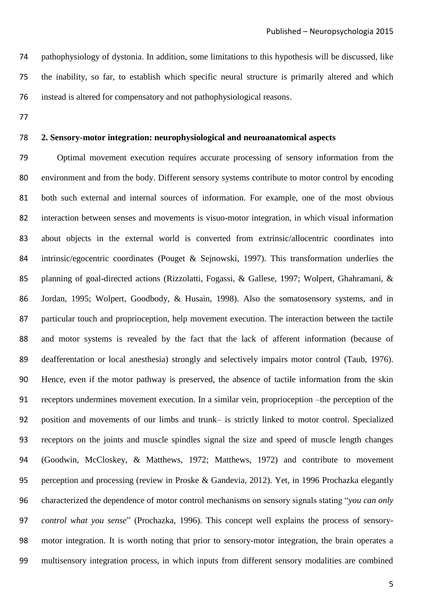pathophysiology of dystonia. In addition, some limitations to this hypothesis will be discussed, like the inability, so far, to establish which specific neural structure is primarily altered and which instead is altered for compensatory and not pathophysiological reasons.

#### **2. Sensory-motor integration: neurophysiological and neuroanatomical aspects**

 Optimal movement execution requires accurate processing of sensory information from the environment and from the body. Different sensory systems contribute to motor control by encoding both such external and internal sources of information. For example, one of the most obvious interaction between senses and movements is visuo-motor integration, in which visual information about objects in the external world is converted from extrinsic/allocentric coordinates into intrinsic/egocentric coordinates [\(Pouget & Sejnowski, 1997\)](#page-35-1). This transformation underlies the planning of goal-directed actions [\(Rizzolatti, Fogassi, & Gallese, 1997;](#page-36-0) [Wolpert, Ghahramani, &](#page-38-0)  [Jordan, 1995;](#page-38-0) [Wolpert, Goodbody, & Husain, 1998\)](#page-38-1). Also the somatosensory systems, and in particular touch and proprioception, help movement execution. The interaction between the tactile and motor systems is revealed by the fact that the lack of afferent information (because of deafferentation or local anesthesia) strongly and selectively impairs motor control [\(Taub, 1976\)](#page-37-1). Hence, even if the motor pathway is preserved, the absence of tactile information from the skin receptors undermines movement execution. In a similar vein, proprioception –the perception of the position and movements of our limbs and trunk– is strictly linked to motor control. Specialized receptors on the joints and muscle spindles signal the size and speed of muscle length changes [\(Goodwin, McCloskey, & Matthews, 1972;](#page-32-2) [Matthews, 1972\)](#page-35-2) and contribute to movement perception and processing [\(review in Proske & Gandevia, 2012\)](#page-36-1). Yet, in 1996 Prochazka elegantly characterized the dependence of motor control mechanisms on sensory signals stating "*you can only control what you sense*" [\(Prochazka, 1996\)](#page-35-3). This concept well explains the process of sensory- motor integration. It is worth noting that prior to sensory-motor integration, the brain operates a multisensory integration process, in which inputs from different sensory modalities are combined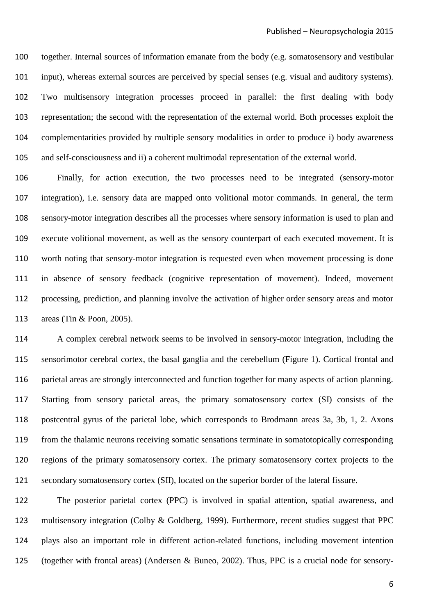together. Internal sources of information emanate from the body (e.g. somatosensory and vestibular input), whereas external sources are perceived by special senses (e.g. visual and auditory systems). Two multisensory integration processes proceed in parallel: the first dealing with body representation; the second with the representation of the external world. Both processes exploit the complementarities provided by multiple sensory modalities in order to produce i) body awareness and self-consciousness and ii) a coherent multimodal representation of the external world.

 Finally, for action execution, the two processes need to be integrated (sensory-motor integration), i.e. sensory data are mapped onto volitional motor commands. In general, the term sensory-motor integration describes all the processes where sensory information is used to plan and execute volitional movement, as well as the sensory counterpart of each executed movement. It is worth noting that sensory-motor integration is requested even when movement processing is done in absence of sensory feedback (cognitive representation of movement). Indeed, movement processing, prediction, and planning involve the activation of higher order sensory areas and motor areas [\(Tin & Poon, 2005\)](#page-37-2).

 A complex cerebral network seems to be involved in sensory-motor integration, including the sensorimotor cerebral cortex, the basal ganglia and the cerebellum (Figure 1). Cortical frontal and parietal areas are strongly interconnected and function together for many aspects of action planning. Starting from sensory parietal areas, the primary somatosensory cortex (SI) consists of the postcentral gyrus of the parietal lobe, which corresponds to Brodmann areas 3a, 3b, 1, 2. Axons from the thalamic neurons receiving somatic sensations terminate in somatotopically corresponding regions of the primary somatosensory cortex. The primary somatosensory cortex projects to the secondary somatosensory cortex (SII), located on the superior border of the lateral fissure.

 The posterior parietal cortex (PPC) is involved in spatial attention, spatial awareness, and multisensory integration [\(Colby & Goldberg, 1999\)](#page-31-0). Furthermore, recent studies suggest that PPC plays also an important role in different action-related functions, including movement intention (together with frontal areas) [\(Andersen & Buneo, 2002\)](#page-30-3). Thus, PPC is a crucial node for sensory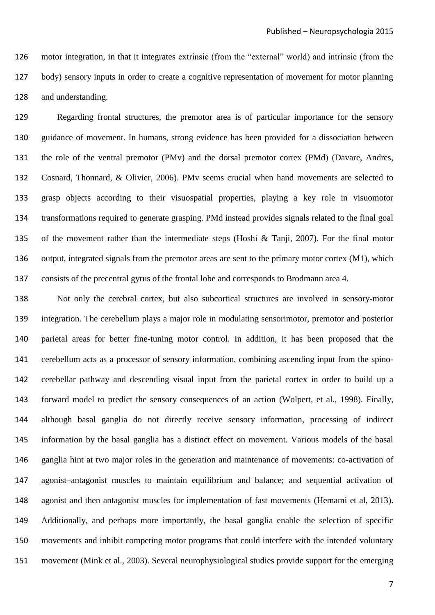motor integration, in that it integrates extrinsic (from the "external" world) and intrinsic (from the body) sensory inputs in order to create a cognitive representation of movement for motor planning and understanding.

 Regarding frontal structures, the premotor area is of particular importance for the sensory guidance of movement. In humans, strong evidence has been provided for a dissociation between the role of the ventral premotor (PMv) and the dorsal premotor cortex (PMd) [\(Davare, Andres,](#page-31-1)  [Cosnard, Thonnard, & Olivier, 2006\)](#page-31-1). PMv seems crucial when hand movements are selected to grasp objects according to their visuospatial properties, playing a key role in visuomotor transformations required to generate grasping. PMd instead provides signals related to the final goal of the movement rather than the intermediate steps [\(Hoshi & Tanji, 2007\)](#page-33-1). For the final motor output, integrated signals from the premotor areas are sent to the primary motor cortex (M1), which consists of the precentral gyrus of the frontal lobe and corresponds to Brodmann area 4.

 Not only the cerebral cortex, but also subcortical structures are involved in sensory-motor integration. The cerebellum plays a major role in modulating sensorimotor, premotor and posterior parietal areas for better fine-tuning motor control. In addition, it has been proposed that the cerebellum acts as a processor of sensory information, combining ascending input from the spino- cerebellar pathway and descending visual input from the parietal cortex in order to build up a forward model to predict the sensory consequences of an action [\(Wolpert, et al., 1998\)](#page-38-1). Finally, although basal ganglia do not directly receive sensory information, processing of indirect information by the basal ganglia has a distinct effect on movement. Various models of the basal ganglia hint at two major roles in the generation and maintenance of movements: co-activation of agonist–antagonist muscles to maintain equilibrium and balance; and sequential activation of agonist and then antagonist muscles for implementation of fast movements (Hemami et al, 2013). Additionally, and perhaps more importantly, the basal ganglia enable the selection of specific movements and inhibit competing motor programs that could interfere with the intended voluntary movement (Mink et al., 2003). Several neurophysiological studies provide support for the emerging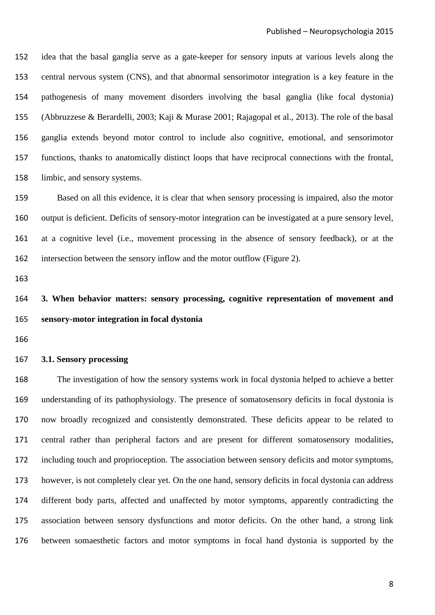idea that the basal ganglia serve as a gate-keeper for sensory inputs at various levels along the central nervous system (CNS), and that abnormal sensorimotor integration is a key feature in the pathogenesis of many movement disorders involving the basal ganglia (like focal dystonia) (Abbruzzese & Berardelli, 2003; Kaji & Murase 2001; Rajagopal et al., 2013). The role of the basal ganglia extends beyond motor control to include also cognitive, emotional, and sensorimotor functions, thanks to anatomically distinct loops that have reciprocal connections with the frontal, limbic, and sensory systems.

 Based on all this evidence, it is clear that when sensory processing is impaired, also the motor output is deficient. Deficits of sensory-motor integration can be investigated at a pure sensory level, at a cognitive level (i.e., movement processing in the absence of sensory feedback), or at the intersection between the sensory inflow and the motor outflow (Figure 2).

# **3. When behavior matters: sensory processing, cognitive representation of movement and sensory-motor integration in focal dystonia**

# **3.1. Sensory processing**

 The investigation of how the sensory systems work in focal dystonia helped to achieve a better understanding of its pathophysiology. The presence of somatosensory deficits in focal dystonia is now broadly recognized and consistently demonstrated. These deficits appear to be related to central rather than peripheral factors and are present for different somatosensory modalities, including touch and proprioception. The association between sensory deficits and motor symptoms, however, is not completely clear yet. On the one hand, sensory deficits in focal dystonia can address different body parts, affected and unaffected by motor symptoms, apparently contradicting the association between sensory dysfunctions and motor deficits. On the other hand, a strong link between somaesthetic factors and motor symptoms in focal hand dystonia is supported by the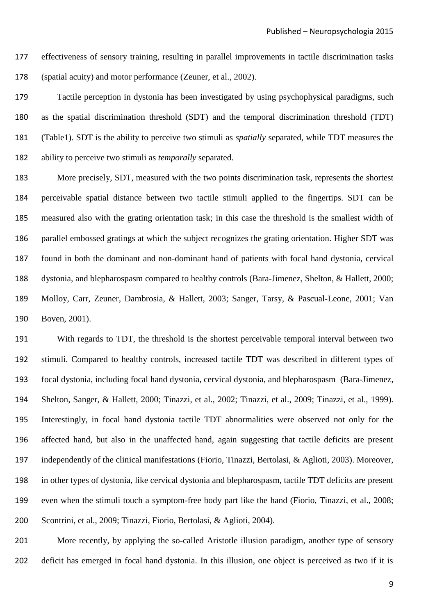effectiveness of sensory training, resulting in parallel improvements in tactile discrimination tasks (spatial acuity) and motor performance [\(Zeuner, et al., 2002\)](#page-38-2).

 Tactile perception in dystonia has been investigated by using psychophysical paradigms, such as the spatial discrimination threshold (SDT) and the temporal discrimination threshold (TDT) (Table1). SDT is the ability to perceive two stimuli as *spatially* separated, while TDT measures the ability to perceive two stimuli as *temporally* separated.

 More precisely, SDT, measured with the two points discrimination task, represents the shortest perceivable spatial distance between two tactile stimuli applied to the fingertips. SDT can be measured also with the grating orientation task; in this case the threshold is the smallest width of parallel embossed gratings at which the subject recognizes the grating orientation. Higher SDT was found in both the dominant and non-dominant hand of patients with focal hand dystonia, cervical dystonia, and blepharospasm compared to healthy controls [\(Bara-Jimenez, Shelton, & Hallett, 2000;](#page-30-4) [Molloy, Carr, Zeuner, Dambrosia, & Hallett, 2003;](#page-35-4) Sanger, [Tarsy, & Pascual-Leone, 2001;](#page-36-2) [Van](#page-37-3)  [Boven, 2001\)](#page-37-3).

 With regards to TDT, the threshold is the shortest perceivable temporal interval between two stimuli. Compared to healthy controls, increased tactile TDT was described in different types of focal dystonia, including focal hand dystonia, cervical dystonia, and blepharospasm [\(Bara-Jimenez,](#page-30-5)  [Shelton, Sanger, & Hallett, 2000;](#page-30-5) [Tinazzi, et al., 2002;](#page-37-4) [Tinazzi, et al., 2009;](#page-37-0) [Tinazzi, et al., 1999\)](#page-37-5). Interestingly, in focal hand dystonia tactile TDT abnormalities were observed not only for the affected hand, but also in the unaffected hand, again suggesting that tactile deficits are present independently of the clinical manifestations [\(Fiorio, Tinazzi, Bertolasi, & Aglioti, 2003\)](#page-32-3). Moreover, in other types of dystonia, like cervical dystonia and blepharospasm, tactile TDT deficits are present even when the stimuli touch a symptom-free body part like the hand [\(Fiorio, Tinazzi, et al., 2008;](#page-32-4) [Scontrini, et al., 2009;](#page-36-3) [Tinazzi, Fiorio, Bertolasi, & Aglioti, 2004\)](#page-37-6).

 More recently, by applying the so-called Aristotle illusion paradigm, another type of sensory deficit has emerged in focal hand dystonia. In this illusion, one object is perceived as two if it is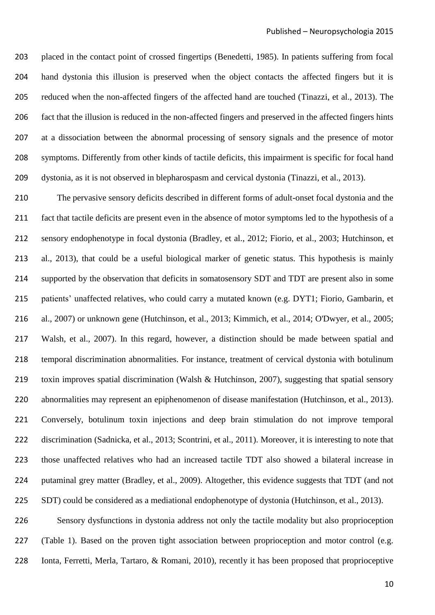placed in the contact point of crossed fingertips [\(Benedetti, 1985\)](#page-30-6). In patients suffering from focal hand dystonia this illusion is preserved when the object contacts the affected fingers but it is reduced when the non-affected fingers of the affected hand are touched [\(Tinazzi, et al., 2013\)](#page-37-7). The fact that the illusion is reduced in the non-affected fingers and preserved in the affected fingers hints at a dissociation between the abnormal processing of sensory signals and the presence of motor symptoms. Differently from other kinds of tactile deficits, this impairment is specific for focal hand dystonia, as it is not observed in blepharospasm and cervical dystonia [\(Tinazzi, et al., 2013\)](#page-37-7).

 The pervasive sensory deficits described in different forms of adult-onset focal dystonia and the fact that tactile deficits are present even in the absence of motor symptoms led to the hypothesis of a sensory endophenotype in focal dystonia [\(Bradley, et al., 2012;](#page-30-7) [Fiorio, et al., 2003;](#page-32-3) [Hutchinson, et](#page-33-2)  [al., 2013\)](#page-33-2), that could be a useful biological marker of genetic status. This hypothesis is mainly supported by the observation that deficits in somatosensory SDT and TDT are present also in some patients' unaffected relatives, who could carry a mutated known [\(e.g. DYT1; Fiorio, Gambarin, et](#page-32-5)  [al., 2007\)](#page-32-5) or unknown gene [\(Hutchinson, et al., 2013;](#page-33-2) [Kimmich, et al., 2014;](#page-33-3) [O'Dwyer, et al., 2005;](#page-35-5) [Walsh, et al., 2007\)](#page-38-3). In this regard, however, a distinction should be made between spatial and temporal discrimination abnormalities. For instance, treatment of cervical dystonia with botulinum toxin improves spatial discrimination [\(Walsh & Hutchinson, 2007\)](#page-38-4), suggesting that spatial sensory abnormalities may represent an epiphenomenon of disease manifestation [\(Hutchinson, et al., 2013\)](#page-33-2). Conversely, botulinum toxin injections and deep brain stimulation do not improve temporal discrimination [\(Sadnicka, et al., 2013;](#page-36-4) [Scontrini, et al., 2011\)](#page-36-5). Moreover, it is interesting to note that those unaffected relatives who had an increased tactile TDT also showed a bilateral increase in putaminal grey matter [\(Bradley, et al., 2009\)](#page-30-8). Altogether, this evidence suggests that TDT (and not SDT) could be considered as a mediational endophenotype of dystonia [\(Hutchinson, et al., 2013\)](#page-33-2).

 Sensory dysfunctions in dystonia address not only the tactile modality but also proprioception 227 (Table 1). Based on the proven tight association between proprioception and motor control (e.g. [Ionta, Ferretti, Merla, Tartaro, & Romani, 2010\)](#page-33-4), recently it has been proposed that proprioceptive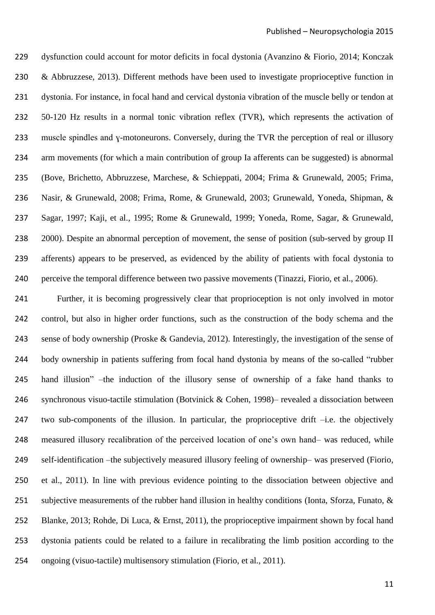dysfunction could account for motor deficits in focal dystonia [\(Avanzino & Fiorio, 2014;](#page-30-1) [Konczak](#page-34-0)  [& Abbruzzese, 2013\)](#page-34-0). Different methods have been used to investigate proprioceptive function in dystonia. For instance, in focal hand and cervical dystonia vibration of the muscle belly or tendon at 50-120 Hz results in a normal tonic vibration reflex (TVR), which represents the activation of muscle spindles and ɣ-motoneurons. Conversely, during the TVR the perception of real or illusory arm movements (for which a main contribution of group Ia afferents can be suggested) is abnormal [\(Bove, Brichetto, Abbruzzese, Marchese, & Schieppati, 2004;](#page-30-9) [Frima & Grunewald, 2005;](#page-32-6) [Frima,](#page-32-7)  [Nasir, & Grunewald, 2008;](#page-32-7) [Frima, Rome, & Grunewald, 2003;](#page-32-8) [Grunewald, Yoneda, Shipman, &](#page-32-9)  [Sagar, 1997;](#page-32-9) [Kaji, et al., 1995;](#page-33-5) [Rome & Grunewald, 1999;](#page-36-6) [Yoneda, Rome, Sagar, & Grunewald,](#page-38-5)  [2000\)](#page-38-5). Despite an abnormal perception of movement, the sense of position (sub-served by group II afferents) appears to be preserved, as evidenced by the ability of patients with focal dystonia to perceive the temporal difference between two passive movements [\(Tinazzi, Fiorio, et al., 2006\)](#page-37-8).

 Further, it is becoming progressively clear that proprioception is not only involved in motor control, but also in higher order functions, such as the construction of the body schema and the sense of body ownership [\(Proske & Gandevia, 2012\)](#page-36-1). Interestingly, the investigation of the sense of body ownership in patients suffering from focal hand dystonia by means of the so-called "rubber hand illusion" –the induction of the illusory sense of ownership of a fake hand thanks to synchronous visuo-tactile stimulation [\(Botvinick & Cohen, 1998\)](#page-30-10)– revealed a dissociation between two sub-components of the illusion. In particular, the proprioceptive drift –i.e. the objectively measured illusory recalibration of the perceived location of one's own hand– was reduced, while self-identification –the subjectively measured illusory feeling of ownership– was preserved [\(Fiorio,](#page-32-10)  [et al., 2011\)](#page-32-10). In line with previous evidence pointing to the dissociation between objective and 251 subjective measurements of the rubber hand illusion in healthy conditions (Ionta, Sforza, Funato, & [Blanke, 2013;](#page-33-6) [Rohde, Di Luca, & Ernst, 2011\)](#page-36-7), the proprioceptive impairment shown by focal hand dystonia patients could be related to a failure in recalibrating the limb position according to the ongoing (visuo-tactile) multisensory stimulation [\(Fiorio, et al., 2011\)](#page-32-10).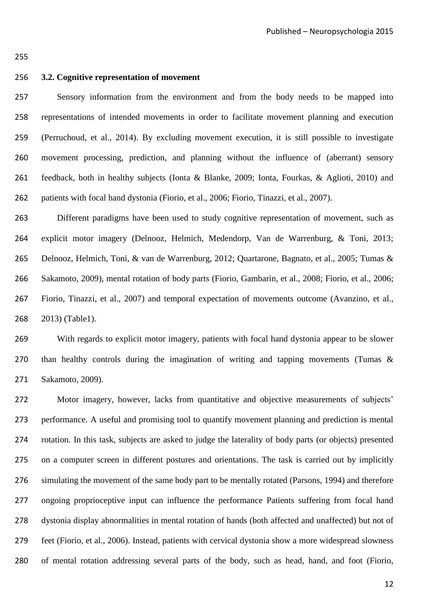# **3.2. Cognitive representation of movement**

 Sensory information from the environment and from the body needs to be mapped into representations of intended movements in order to facilitate movement planning and execution [\(Perruchoud, et al., 2014\)](#page-35-0). By excluding movement execution, it is still possible to investigate movement processing, prediction, and planning without the influence of (aberrant) sensory feedback, both in healthy subjects [\(Ionta & Blanke, 2009;](#page-33-7) [Ionta, Fourkas, & Aglioti, 2010\)](#page-33-8) and patients with focal hand dystonia [\(Fiorio, et al., 2006;](#page-32-1) [Fiorio, Tinazzi, et al., 2007\)](#page-32-11).

 Different paradigms have been used to study cognitive representation of movement, such as explicit motor imagery [\(Delnooz, Helmich, Medendorp, Van de Warrenburg, & Toni, 2013;](#page-31-2) [Delnooz, Helmich, Toni, & van de Warrenburg, 2012;](#page-31-3) [Quartarone, Bagnato, et al., 2005;](#page-36-8) [Tumas &](#page-37-9)  [Sakamoto, 2009\)](#page-37-9), mental rotation of body parts [\(Fiorio, Gambarin, et al., 2008;](#page-32-12) [Fiorio, et al., 2006;](#page-32-1) [Fiorio, Tinazzi, et al., 2007\)](#page-32-11) and temporal expectation of movements outcome [\(Avanzino, et al.,](#page-30-2)  [2013\)](#page-30-2) (Table1).

 With regards to explicit motor imagery, patients with focal hand dystonia appear to be slower than healthy controls during the imagination of writing and tapping movements [\(Tumas &](#page-37-9)  [Sakamoto, 2009\)](#page-37-9).

 Motor imagery, however, lacks from quantitative and objective measurements of subjects' performance. A useful and promising tool to quantify movement planning and prediction is mental rotation. In this task, subjects are asked to judge the laterality of body parts (or objects) presented on a computer screen in different postures and orientations. The task is carried out by implicitly simulating the movement of the same body part to be mentally rotated [\(Parsons, 1994\)](#page-35-6) and therefore ongoing proprioceptive input can influence the performance Patients suffering from focal hand dystonia display abnormalities in mental rotation of hands (both affected and unaffected) but not of feet [\(Fiorio, et al., 2006\)](#page-32-1). Instead, patients with cervical dystonia show a more widespread slowness of mental rotation addressing several parts of the body, such as head, hand, and foot [\(Fiorio,](#page-32-11)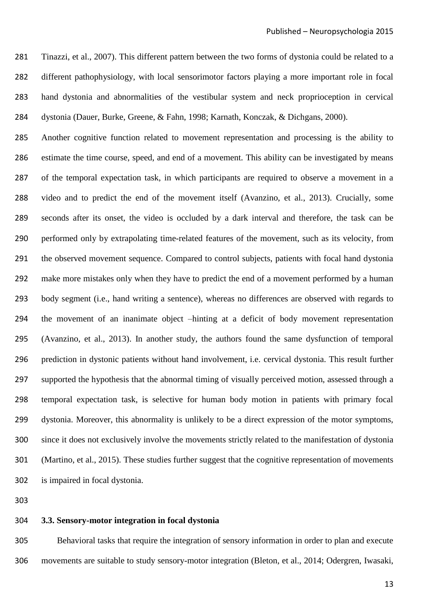Tinazzi, et al., 2007). This different pattern between the two forms of dystonia could be related to a different pathophysiology, with local sensorimotor factors playing a more important role in focal hand dystonia and abnormalities of the vestibular system and neck proprioception in cervical dystonia (Dauer, Burke, [Greene, & Fahn, 1998;](#page-31-4) [Karnath, Konczak, & Dichgans, 2000\)](#page-33-9).

 Another cognitive function related to movement representation and processing is the ability to estimate the time course, speed, and end of a movement. This ability can be investigated by means of the temporal expectation task, in which participants are required to observe a movement in a video and to predict the end of the movement itself [\(Avanzino, et al., 2013\)](#page-30-2). Crucially, some seconds after its onset, the video is occluded by a dark interval and therefore, the task can be performed only by extrapolating time-related features of the movement, such as its velocity, from the observed movement sequence. Compared to control subjects, patients with focal hand dystonia make more mistakes only when they have to predict the end of a movement performed by a human body segment (i.e., hand writing a sentence), whereas no differences are observed with regards to the movement of an inanimate object –hinting at a deficit of body movement representation [\(Avanzino, et al., 2013\)](#page-30-2). In another study, the authors found the same dysfunction of temporal prediction in dystonic patients without hand involvement, i.e. cervical dystonia. This result further supported the hypothesis that the abnormal timing of visually perceived motion, assessed through a temporal expectation task, is selective for human body motion in patients with primary focal dystonia. Moreover, this abnormality is unlikely to be a direct expression of the motor symptoms, since it does not exclusively involve the movements strictly related to the manifestation of dystonia [\(Martino, et al., 2015\)](#page-35-7). These studies further suggest that the cognitive representation of movements is impaired in focal dystonia.

#### **3.3. Sensory-motor integration in focal dystonia**

 Behavioral tasks that require the integration of sensory information in order to plan and execute movements are suitable to study sensory-motor integration [\(Bleton, et al., 2014;](#page-30-11) [Odergren, Iwasaki,](#page-35-8)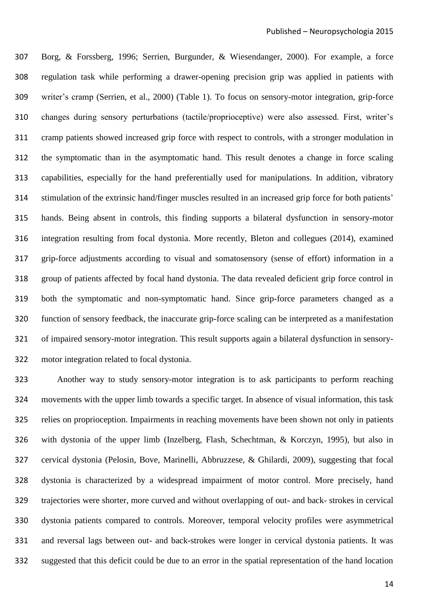Borg, & Forssberg, 1996; [Serrien, Burgunder, & Wiesendanger, 2000\)](#page-36-9). For example, a force regulation task while performing a drawer-opening precision grip was applied in patients with writer's cramp [\(Serrien, et al., 2000\)](#page-36-9) (Table 1). To focus on sensory-motor integration, grip-force changes during sensory perturbations (tactile/proprioceptive) were also assessed. First, writer's cramp patients showed increased grip force with respect to controls, with a stronger modulation in the symptomatic than in the asymptomatic hand. This result denotes a change in force scaling capabilities, especially for the hand preferentially used for manipulations. In addition, vibratory stimulation of the extrinsic hand/finger muscles resulted in an increased grip force for both patients' hands. Being absent in controls, this finding supports a bilateral dysfunction in sensory-motor integration resulting from focal dystonia. More recently, Bleton and collegues [\(2014\)](#page-30-11), examined grip-force adjustments according to visual and somatosensory (sense of effort) information in a group of patients affected by focal hand dystonia. The data revealed deficient grip force control in both the symptomatic and non-symptomatic hand. Since grip-force parameters changed as a function of sensory feedback, the inaccurate grip-force scaling can be interpreted as a manifestation of impaired sensory-motor integration. This result supports again a bilateral dysfunction in sensory-motor integration related to focal dystonia.

 Another way to study sensory-motor integration is to ask participants to perform reaching movements with the upper limb towards a specific target. In absence of visual information, this task relies on proprioception. Impairments in reaching movements have been shown not only in patients with dystonia of the upper limb [\(Inzelberg, Flash, Schechtman, & Korczyn, 1995\)](#page-33-10), but also in cervical dystonia [\(Pelosin, Bove, Marinelli, Abbruzzese, & Ghilardi, 2009\)](#page-35-9), suggesting that focal dystonia is characterized by a widespread impairment of motor control. More precisely, hand trajectories were shorter, more curved and without overlapping of out- and back- strokes in cervical dystonia patients compared to controls. Moreover, temporal velocity profiles were asymmetrical and reversal lags between out- and back-strokes were longer in cervical dystonia patients. It was suggested that this deficit could be due to an error in the spatial representation of the hand location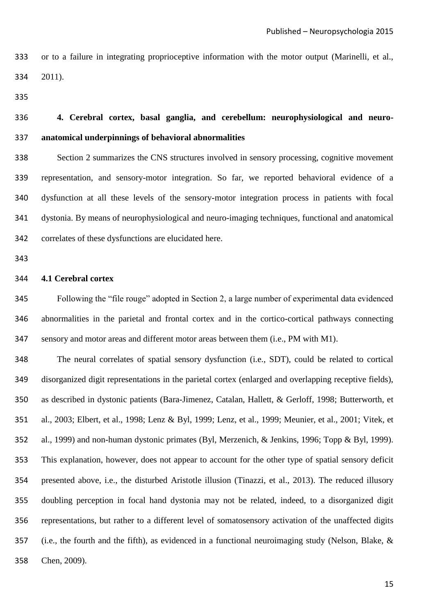or to a failure in integrating proprioceptive information with the motor output [\(Marinelli, et al.,](#page-34-1)  [2011\)](#page-34-1).

# **4. Cerebral cortex, basal ganglia, and cerebellum: neurophysiological and neuro-anatomical underpinnings of behavioral abnormalities**

 Section 2 summarizes the CNS structures involved in sensory processing, cognitive movement representation, and sensory-motor integration. So far, we reported behavioral evidence of a dysfunction at all these levels of the sensory-motor integration process in patients with focal dystonia. By means of neurophysiological and neuro-imaging techniques, functional and anatomical correlates of these dysfunctions are elucidated here.

## **4.1 Cerebral cortex**

 Following the "file rouge" adopted in Section 2, a large number of experimental data evidenced abnormalities in the parietal and frontal cortex and in the cortico-cortical pathways connecting sensory and motor areas and different motor areas between them (i.e., PM with M1).

 The neural correlates of spatial sensory dysfunction (i.e., SDT), could be related to cortical disorganized digit representations in the parietal cortex (enlarged and overlapping receptive fields), as described in dystonic patients [\(Bara-Jimenez, Catalan, Hallett, & Gerloff, 1998;](#page-30-12) [Butterworth, et](#page-31-5)  [al., 2003;](#page-31-5) [Elbert, et al., 1998;](#page-32-13) [Lenz & Byl, 1999;](#page-34-2) [Lenz, et al., 1999;](#page-34-3) [Meunier, et al., 2001;](#page-35-10) [Vitek, et](#page-38-6)  [al., 1999\)](#page-38-6) and non-human dystonic primates [\(Byl, Merzenich, & Jenkins, 1996;](#page-31-6) [Topp & Byl, 1999\)](#page-37-10). This explanation, however, does not appear to account for the other type of spatial sensory deficit presented above, i.e., the disturbed Aristotle illusion [\(Tinazzi, et al., 2013\)](#page-37-7). The reduced illusory doubling perception in focal hand dystonia may not be related, indeed, to a disorganized digit representations, but rather to a different level of somatosensory activation of the unaffected digits (i.e., the fourth and the fifth), as evidenced in a functional neuroimaging study [\(Nelson, Blake, &](#page-35-11)  [Chen, 2009\)](#page-35-11).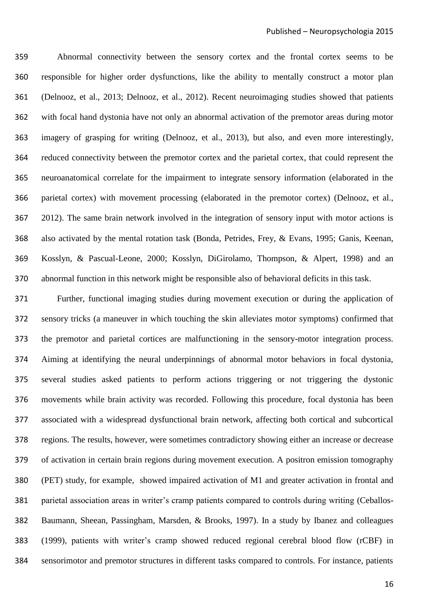Abnormal connectivity between the sensory cortex and the frontal cortex seems to be responsible for higher order dysfunctions, like the ability to mentally construct a motor plan [\(Delnooz, et al., 2013;](#page-31-2) [Delnooz, et al., 2012\)](#page-31-3). Recent neuroimaging studies showed that patients with focal hand dystonia have not only an abnormal activation of the premotor areas during motor imagery of grasping for writing [\(Delnooz, et al., 2013\)](#page-31-2), but also, and even more interestingly, reduced connectivity between the premotor cortex and the parietal cortex, that could represent the neuroanatomical correlate for the impairment to integrate sensory information (elaborated in the parietal cortex) with movement processing (elaborated in the premotor cortex) [\(Delnooz, et al.,](#page-31-3)  [2012\)](#page-31-3). The same brain network involved in the integration of sensory input with motor actions is also activated by the mental rotation task [\(Bonda, Petrides, Frey, & Evans, 1995;](#page-30-13) [Ganis, Keenan,](#page-32-14)  [Kosslyn, & Pascual-Leone, 2000;](#page-32-14) [Kosslyn, DiGirolamo, Thompson, & Alpert, 1998\)](#page-34-4) and an abnormal function in this network might be responsible also of behavioral deficits in this task.

 Further, functional imaging studies during movement execution or during the application of sensory tricks (a maneuver in which touching the skin alleviates motor symptoms) confirmed that the premotor and parietal cortices are malfunctioning in the sensory-motor integration process. Aiming at identifying the neural underpinnings of abnormal motor behaviors in focal dystonia, several studies asked patients to perform actions triggering or not triggering the dystonic movements while brain activity was recorded. Following this procedure, focal dystonia has been associated with a widespread dysfunctional brain network, affecting both cortical and subcortical regions. The results, however, were sometimes contradictory showing either an increase or decrease of activation in certain brain regions during movement execution. A positron emission tomography (PET) study, for example, showed impaired activation of M1 and greater activation in frontal and parietal association areas in writer's cramp patients compared to controls during writing [\(Ceballos-](#page-31-7) [Baumann, Sheean, Passingham, Marsden, & Brooks, 1997\)](#page-31-7). In a study by Ibanez and colleagues [\(1999\)](#page-33-11), patients with writer's cramp showed reduced regional cerebral blood flow (rCBF) in sensorimotor and premotor structures in different tasks compared to controls. For instance, patients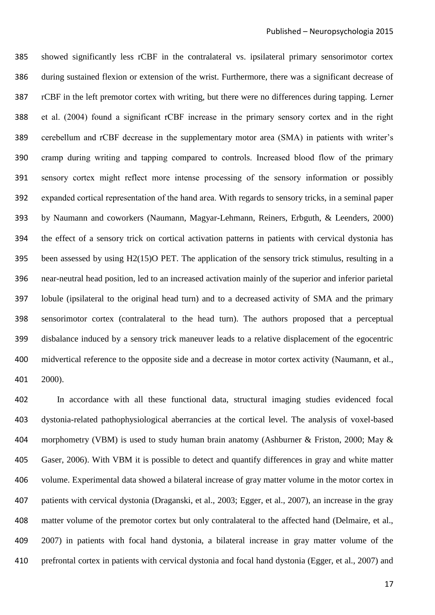showed significantly less rCBF in the contralateral vs. ipsilateral primary sensorimotor cortex during sustained flexion or extension of the wrist. Furthermore, there was a significant decrease of rCBF in the left premotor cortex with writing, but there were no differences during tapping. Lerner et al. (2004) found a significant rCBF increase in the primary sensory cortex and in the right cerebellum and rCBF decrease in the supplementary motor area (SMA) in patients with writer's cramp during writing and tapping compared to controls. Increased blood flow of the primary sensory cortex might reflect more intense processing of the sensory information or possibly expanded cortical representation of the hand area. With regards to sensory tricks, in a seminal paper by Naumann and coworkers [\(Naumann, Magyar-Lehmann, Reiners, Erbguth, & Leenders, 2000\)](#page-35-12) the effect of a sensory trick on cortical activation patterns in patients with cervical dystonia has been assessed by using H2(15)O PET. The application of the sensory trick stimulus, resulting in a near-neutral head position, led to an increased activation mainly of the superior and inferior parietal lobule (ipsilateral to the original head turn) and to a decreased activity of SMA and the primary sensorimotor cortex (contralateral to the head turn). The authors proposed that a perceptual disbalance induced by a sensory trick maneuver leads to a relative displacement of the egocentric midvertical reference to the opposite side and a decrease in motor cortex activity [\(Naumann, et al.,](#page-35-12)  [2000\)](#page-35-12).

 In accordance with all these functional data, structural imaging studies evidenced focal dystonia-related pathophysiological aberrancies at the cortical level. The analysis of voxel-based 404 morphometry (VBM) is used to study human brain anatomy [\(Ashburner & Friston, 2000;](#page-30-14) May & [Gaser, 2006\)](#page-35-13). With VBM it is possible to detect and quantify differences in gray and white matter volume. Experimental data showed a bilateral increase of gray matter volume in the motor cortex in patients with cervical dystonia (Draganski, et al., 2003; Egger, et al., 2007), an increase in the gray matter volume of the premotor cortex but only contralateral to the affected hand (Delmaire, et al., 2007) in patients with focal hand dystonia, a bilateral increase in gray matter volume of the prefrontal cortex in patients with cervical dystonia and focal hand dystonia (Egger, et al., 2007) and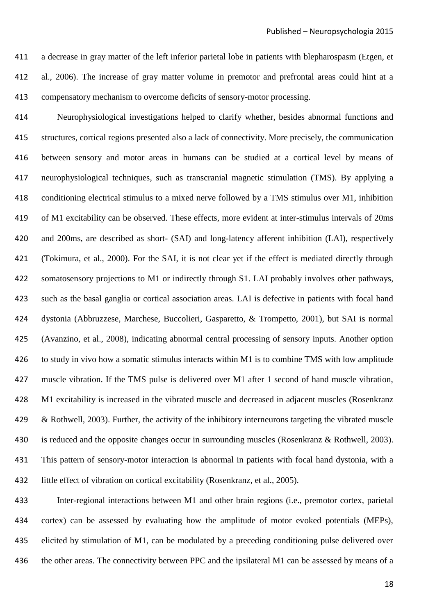a decrease in gray matter of the left inferior parietal lobe in patients with blepharospasm (Etgen, et al., 2006). The increase of gray matter volume in premotor and prefrontal areas could hint at a compensatory mechanism to overcome deficits of sensory-motor processing.

 Neurophysiological investigations helped to clarify whether, besides abnormal functions and structures, cortical regions presented also a lack of connectivity. More precisely, the communication between sensory and motor areas in humans can be studied at a cortical level by means of neurophysiological techniques, such as transcranial magnetic stimulation (TMS). By applying a conditioning electrical stimulus to a mixed nerve followed by a TMS stimulus over M1, inhibition of M1 excitability can be observed. These effects, more evident at inter-stimulus intervals of 20ms and 200ms, are described as short- (SAI) and long-latency afferent inhibition (LAI), respectively [\(Tokimura, et al.,](#page-37-11) 2000). For the SAI, it is not clear yet if the effect is mediated directly through somatosensory projections to M1 or indirectly through S1. LAI probably involves other pathways, such as the basal ganglia or cortical association areas. LAI is defective in patients with focal hand dystonia [\(Abbruzzese, Marchese, Buccolieri, Gasparetto, & Trompetto, 2001\)](#page-30-15), but SAI is normal [\(Avanzino, et al., 2008\)](#page-30-16), indicating abnormal central processing of sensory inputs. Another option to study in vivo how a somatic stimulus interacts within M1 is to combine TMS with low amplitude muscle vibration. If the TMS pulse is delivered over M1 after 1 second of hand muscle vibration, M1 excitability is increased in the vibrated muscle and decreased in adjacent muscles [\(Rosenkranz](#page-36-10)  [& Rothwell, 2003\)](#page-36-10). Further, the activity of the inhibitory interneurons targeting the vibrated muscle is reduced and the opposite changes occur in surrounding muscles [\(Rosenkranz & Rothwell, 2003\)](#page-36-10). This pattern of sensory-motor interaction is abnormal in patients with focal hand dystonia, with a little effect of vibration on cortical excitability [\(Rosenkranz, et al., 2005\)](#page-36-11).

 Inter-regional interactions between M1 and other brain regions (i.e., premotor cortex, parietal cortex) can be assessed by evaluating how the amplitude of motor evoked potentials (MEPs), elicited by stimulation of M1, can be modulated by a preceding conditioning pulse delivered over 436 the other areas. The connectivity between PPC and the ipsilateral M1 can be assessed by means of a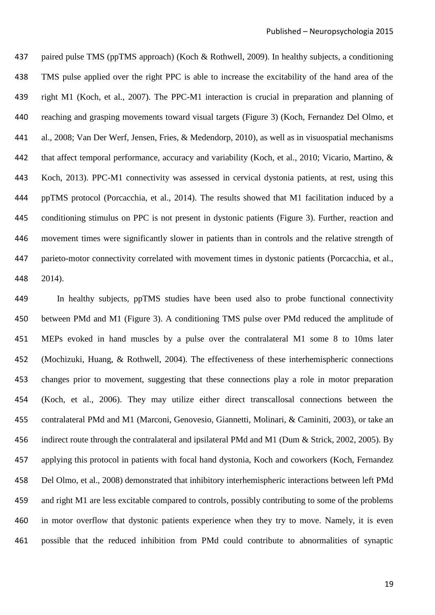paired pulse TMS (ppTMS approach) (Koch & [Rothwell, 2009\)](#page-34-5). In healthy subjects, a conditioning TMS pulse applied over the right PPC is able to increase the excitability of the hand area of the right M1 [\(Koch, et al., 2007\)](#page-33-12). The PPC-M1 interaction is crucial in preparation and planning of reaching and grasping movements toward visual targets (Figure 3) [\(Koch, Fernandez Del Olmo, et](#page-34-6)  [al., 2008;](#page-34-6) [Van Der Werf, Jensen, Fries, & Medendorp, 2010\)](#page-37-12), as well as in visuospatial mechanisms that affect temporal performance, accuracy and variability [\(Koch, et al., 2010;](#page-33-13) [Vicario, Martino, &](#page-37-13)  [Koch, 2013\)](#page-37-13). PPC-M1 connectivity was assessed in cervical dystonia patients, at rest, using this ppTMS protocol [\(Porcacchia, et al., 2014\)](#page-35-14). The results showed that M1 facilitation induced by a conditioning stimulus on PPC is not present in dystonic patients (Figure 3). Further, reaction and movement times were significantly slower in patients than in controls and the relative strength of parieto-motor connectivity correlated with movement times in dystonic patients [\(Porcacchia, et al.,](#page-35-14)  [2014\)](#page-35-14).

 In healthy subjects, ppTMS studies have been used also to probe functional connectivity between PMd and M1 (Figure 3). A conditioning TMS pulse over PMd reduced the amplitude of MEPs evoked in hand muscles by a pulse over the contralateral M1 some 8 to 10ms later [\(Mochizuki, Huang, & Rothwell, 2004\)](#page-35-15). The effectiveness of these interhemispheric connections changes prior to movement, suggesting that these connections play a role in motor preparation [\(Koch, et al., 2006\)](#page-34-7). They may utilize either direct transcallosal connections between the contralateral PMd and M1 [\(Marconi, Genovesio, Giannetti, Molinari, & Caminiti, 2003\)](#page-34-8), or take an indirect route through the contralateral and ipsilateral PMd and M1 [\(Dum & Strick, 2002,](#page-31-8) [2005\)](#page-31-9). By applying this protocol in patients with focal hand dystonia, Koch and coworkers [\(Koch, Fernandez](#page-34-6)  [Del Olmo, et al., 2008\)](#page-34-6) demonstrated that inhibitory interhemispheric interactions between left PMd and right M1 are less excitable compared to controls, possibly contributing to some of the problems in motor overflow that dystonic patients experience when they try to move. Namely, it is even possible that the reduced inhibition from PMd could contribute to abnormalities of synaptic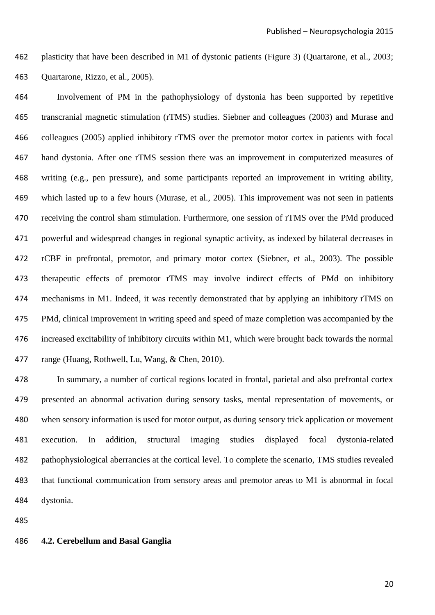plasticity that have been described in M1 of dystonic patients (Figure 3) [\(Quartarone, et al., 2003;](#page-36-12) [Quartarone, Rizzo, et al., 2005\)](#page-36-13).

 Involvement of PM in the pathophysiology of dystonia has been supported by repetitive transcranial magnetic stimulation (rTMS) studies. Siebner and colleagues [\(2003\)](#page-37-14) and Murase and colleagues [\(2005\)](#page-35-16) applied inhibitory rTMS over the premotor motor cortex in patients with focal hand dystonia. After one rTMS session there was an improvement in computerized measures of writing (e.g., pen pressure), and some participants reported an improvement in writing ability, which lasted up to a few hours [\(Murase, et al., 2005\)](#page-35-16). This improvement was not seen in patients receiving the control sham stimulation. Furthermore, one session of rTMS over the PMd produced powerful and widespread changes in regional synaptic activity, as indexed by bilateral decreases in rCBF in prefrontal, premotor, and primary motor cortex [\(Siebner, et al., 2003\)](#page-37-14). The possible therapeutic effects of premotor rTMS may involve indirect effects of PMd on inhibitory mechanisms in M1. Indeed, it was recently demonstrated that by applying an inhibitory rTMS on PMd, clinical improvement in writing speed and speed of maze completion was accompanied by the increased excitability of inhibitory circuits within M1, which were brought back towards the normal range [\(Huang, Rothwell, Lu, Wang, & Chen, 2010\)](#page-33-14).

 In summary, a number of cortical regions located in frontal, parietal and also prefrontal cortex presented an abnormal activation during sensory tasks, mental representation of movements, or when sensory information is used for motor output, as during sensory trick application or movement execution. In addition, structural imaging studies displayed focal dystonia-related pathophysiological aberrancies at the cortical level. To complete the scenario, TMS studies revealed that functional communication from sensory areas and premotor areas to M1 is abnormal in focal dystonia.

#### **4.2. Cerebellum and Basal Ganglia**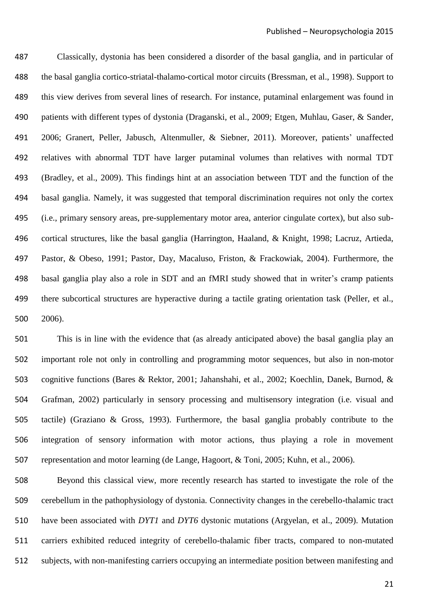Classically, dystonia has been considered a disorder of the basal ganglia, and in particular of the basal ganglia cortico-striatal-thalamo-cortical motor circuits [\(Bressman, et al., 1998\)](#page-30-17). Support to this view derives from several lines of research. For instance, putaminal enlargement was found in patients with different types of dystonia [\(Draganski, et al., 2009;](#page-31-10) [Etgen, Muhlau, Gaser, & Sander,](#page-32-15)  [2006;](#page-32-15) [Granert, Peller, Jabusch, Altenmuller, & Siebner, 2011\)](#page-32-16). Moreover, patients' unaffected relatives with abnormal TDT have larger putaminal volumes than relatives with normal TDT [\(Bradley, et al., 2009\)](#page-30-8). This findings hint at an association between TDT and the function of the basal ganglia. Namely, it was suggested that temporal discrimination requires not only the cortex (i.e., primary sensory areas, pre-supplementary motor area, anterior cingulate cortex), but also sub- cortical structures, like the basal ganglia [\(Harrington, Haaland, & Knight, 1998;](#page-33-15) [Lacruz, Artieda,](#page-34-9)  [Pastor, & Obeso, 1991;](#page-34-9) [Pastor, Day, Macaluso, Friston, & Frackowiak, 2004\)](#page-35-17). Furthermore, the basal ganglia play also a role in SDT and an fMRI study showed that in writer's cramp patients there subcortical structures are hyperactive during a tactile grating orientation task [\(Peller, et al.,](#page-35-18)  [2006\)](#page-35-18).

 This is in line with the evidence that (as already anticipated above) the basal ganglia play an important role not only in controlling and programming motor sequences, but also in non-motor cognitive functions [\(Bares & Rektor, 2001;](#page-30-18) [Jahanshahi, et al., 2002;](#page-33-16) [Koechlin, Danek, Burnod, &](#page-34-10)  [Grafman, 2002\)](#page-34-10) particularly in sensory processing and multisensory integration (i.e. visual and tactile) [\(Graziano & Gross, 1993\)](#page-32-17). Furthermore, the basal ganglia probably contribute to the integration of sensory information with motor actions, thus playing a role in movement representation and motor learning [\(de Lange, Hagoort, & Toni, 2005;](#page-31-11) [Kuhn, et al., 2006\)](#page-34-11).

 Beyond this classical view, more recently research has started to investigate the role of the cerebellum in the pathophysiology of dystonia. Connectivity changes in the cerebello-thalamic tract have been associated with *DYT1* and *DYT6* dystonic mutations [\(Argyelan, et al., 2009\)](#page-30-19). Mutation carriers exhibited reduced integrity of cerebello-thalamic fiber tracts, compared to non-mutated subjects, with non-manifesting carriers occupying an intermediate position between manifesting and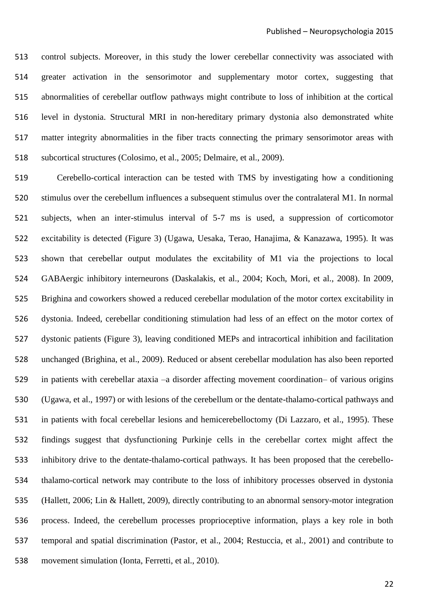control subjects. Moreover, in this study the lower cerebellar connectivity was associated with greater activation in the sensorimotor and supplementary motor cortex, suggesting that abnormalities of cerebellar outflow pathways might contribute to loss of inhibition at the cortical level in dystonia. Structural MRI in non-hereditary primary dystonia also demonstrated white matter integrity abnormalities in the fiber tracts connecting the primary sensorimotor areas with subcortical structures [\(Colosimo, et al., 2005;](#page-31-12) [Delmaire, et al., 2009\)](#page-31-13).

 Cerebello-cortical interaction can be tested with TMS by investigating how a conditioning stimulus over the cerebellum influences a subsequent stimulus over the contralateral M1. In normal subjects, when an inter-stimulus interval of 5-7 ms is used, a suppression of corticomotor excitability is detected (Figure 3) [\(Ugawa, Uesaka, Terao, Hanajima, & Kanazawa, 1995\)](#page-37-15). It was shown that cerebellar output modulates the excitability of M1 via the projections to local GABAergic inhibitory interneurons [\(Daskalakis, et al., 2004;](#page-31-14) [Koch, Mori, et al., 2008\)](#page-34-12). In 2009, Brighina and coworkers showed a reduced cerebellar modulation of the motor cortex excitability in dystonia. Indeed, cerebellar conditioning stimulation had less of an effect on the motor cortex of dystonic patients (Figure 3), leaving conditioned MEPs and intracortical inhibition and facilitation unchanged [\(Brighina, et al., 2009\)](#page-31-15). Reduced or absent cerebellar modulation has also been reported in patients with cerebellar ataxia –a disorder affecting movement coordination– of various origins [\(Ugawa, et al., 1997\)](#page-37-16) or with lesions of the cerebellum or the dentate-thalamo-cortical pathways and in patients with focal cerebellar lesions and hemicerebelloctomy [\(Di Lazzaro, et al., 1995\)](#page-31-16). These findings suggest that dysfunctioning Purkinje cells in the cerebellar cortex might affect the inhibitory drive to the dentate-thalamo-cortical pathways. It has been proposed that the cerebello- thalamo-cortical network may contribute to the loss of inhibitory processes observed in dystonia [\(Hallett, 2006;](#page-32-18) [Lin & Hallett, 2009\)](#page-34-13), directly contributing to an abnormal sensory-motor integration process. Indeed, the cerebellum processes proprioceptive information, plays a key role in both temporal and spatial discrimination [\(Pastor, et al., 2004;](#page-35-17) [Restuccia, et al., 2001\)](#page-36-14) and contribute to movement simulation [\(Ionta, Ferretti, et al., 2010\)](#page-33-4).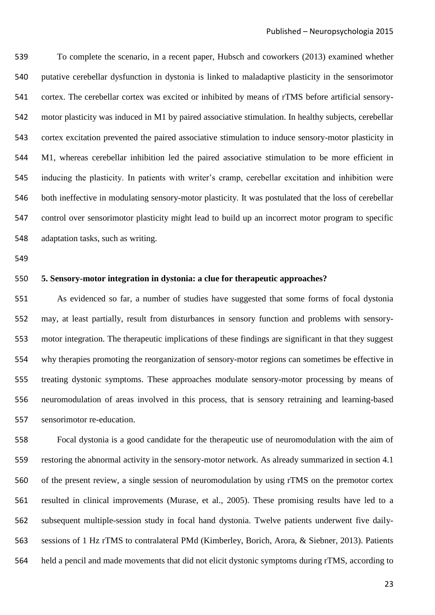To complete the scenario, in a recent paper, Hubsch and coworkers [\(2013\)](#page-33-17) examined whether putative cerebellar dysfunction in dystonia is linked to maladaptive plasticity in the sensorimotor cortex. The cerebellar cortex was excited or inhibited by means of rTMS before artificial sensory- motor plasticity was induced in M1 by paired associative stimulation. In healthy subjects, cerebellar cortex excitation prevented the paired associative stimulation to induce sensory-motor plasticity in M1, whereas cerebellar inhibition led the paired associative stimulation to be more efficient in inducing the plasticity. In patients with writer's cramp, cerebellar excitation and inhibition were both ineffective in modulating sensory-motor plasticity. It was postulated that the loss of cerebellar control over sensorimotor plasticity might lead to build up an incorrect motor program to specific adaptation tasks, such as writing.

# **5. Sensory-motor integration in dystonia: a clue for therapeutic approaches?**

 As evidenced so far, a number of studies have suggested that some forms of focal dystonia may, at least partially, result from disturbances in sensory function and problems with sensory- motor integration. The therapeutic implications of these findings are significant in that they suggest why therapies promoting the reorganization of sensory-motor regions can sometimes be effective in treating dystonic symptoms. These approaches modulate sensory-motor processing by means of neuromodulation of areas involved in this process, that is sensory retraining and learning-based sensorimotor re-education.

 Focal dystonia is a good candidate for the therapeutic use of neuromodulation with the aim of restoring the abnormal activity in the sensory-motor network. As already summarized in section 4.1 of the present review, a single session of neuromodulation by using rTMS on the premotor cortex resulted in clinical improvements [\(Murase, et al., 2005\)](#page-35-16). These promising results have led to a subsequent multiple-session study in focal hand dystonia. Twelve patients underwent five daily- sessions of 1 Hz rTMS to contralateral PMd [\(Kimberley, Borich, Arora, & Siebner, 2013\)](#page-33-18). Patients held a pencil and made movements that did not elicit dystonic symptoms during rTMS, according to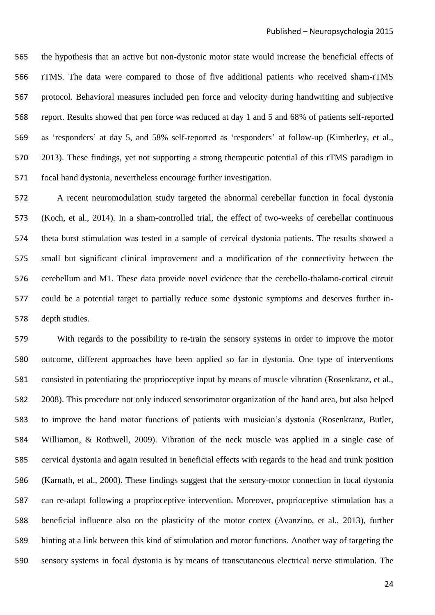the hypothesis that an active but non-dystonic motor state would increase the beneficial effects of rTMS. The data were compared to those of five additional patients who received sham-rTMS protocol. Behavioral measures included pen force and velocity during handwriting and subjective report. Results showed that pen force was reduced at day 1 and 5 and 68% of patients self-reported as 'responders' at day 5, and 58% self-reported as 'responders' at follow-up [\(Kimberley, et al.,](#page-33-18)  [2013\)](#page-33-18). These findings, yet not supporting a strong therapeutic potential of this rTMS paradigm in focal hand dystonia, nevertheless encourage further investigation.

 A recent neuromodulation study targeted the abnormal cerebellar function in focal dystonia [\(Koch, et al., 2014\)](#page-34-14). In a sham-controlled trial, the effect of two-weeks of cerebellar continuous theta burst stimulation was tested in a sample of cervical dystonia patients. The results showed a small but significant clinical improvement and a modification of the connectivity between the cerebellum and M1. These data provide novel evidence that the cerebello-thalamo-cortical circuit could be a potential target to partially reduce some dystonic symptoms and deserves further in-depth studies.

 With regards to the possibility to re-train the sensory systems in order to improve the motor outcome, different approaches have been applied so far in dystonia. One type of interventions consisted in potentiating the proprioceptive input by means of muscle vibration [\(Rosenkranz, et al.,](#page-36-15)  [2008\)](#page-36-15). This procedure not only induced sensorimotor organization of the hand area, but also helped to improve the hand motor functions of patients with musician's dystonia [\(Rosenkranz, Butler,](#page-36-16)  [Williamon, & Rothwell, 2009\)](#page-36-16). Vibration of the neck muscle was applied in a single case of cervical dystonia and again resulted in beneficial effects with regards to the head and trunk position [\(Karnath, et al., 2000\)](#page-33-9). These findings suggest that the sensory-motor connection in focal dystonia can re-adapt following a proprioceptive intervention. Moreover, proprioceptive stimulation has a beneficial influence also on the plasticity of the motor cortex [\(Avanzino, et al., 2013\)](#page-30-2), further hinting at a link between this kind of stimulation and motor functions. Another way of targeting the sensory systems in focal dystonia is by means of transcutaneous electrical nerve stimulation. The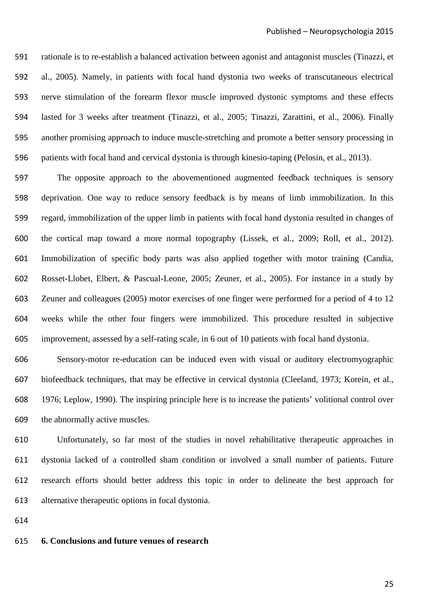rationale is to re-establish a balanced activation between agonist and antagonist muscles [\(Tinazzi, et](#page-37-17)  [al., 2005\)](#page-37-17). Namely, in patients with focal hand dystonia two weeks of transcutaneous electrical nerve stimulation of the forearm flexor muscle improved dystonic symptoms and these effects lasted for 3 weeks after treatment [\(Tinazzi, et al., 2005;](#page-37-17) [Tinazzi, Zarattini, et al., 2006\)](#page-37-18). Finally another promising approach to induce muscle-stretching and promote a better sensory processing in patients with focal hand and cervical dystonia is through kinesio-taping [\(Pelosin, et al., 2013\)](#page-35-19).

 The opposite approach to the abovementioned augmented feedback techniques is sensory deprivation. One way to reduce sensory feedback is by means of limb immobilization. In this regard, immobilization of the upper limb in patients with focal hand dystonia resulted in changes of the cortical map toward a more normal topography [\(Lissek, et al., 2009;](#page-34-15) [Roll, et al., 2012\)](#page-36-17). Immobilization of specific body parts was also applied together with motor training [\(Candia,](#page-31-17)  [Rosset-Llobet, Elbert, & Pascual-Leone, 2005;](#page-31-17) [Zeuner, et al., 2005\)](#page-38-7). For instance in a study by Zeuner and colleagues [\(2005\)](#page-38-7) motor exercises of one finger were performed for a period of 4 to 12 weeks while the other four fingers were immobilized. This procedure resulted in subjective improvement, assessed by a self-rating scale, in 6 out of 10 patients with focal hand dystonia.

 Sensory-motor re-education can be induced even with visual or auditory electromyographic biofeedback techniques, that may be effective in cervical dystonia [\(Cleeland, 1973;](#page-31-18) [Korein, et al.,](#page-34-16)  [1976;](#page-34-16) [Leplow, 1990\)](#page-34-17). The inspiring principle here is to increase the patients' volitional control over the abnormally active muscles.

 Unfortunately, so far most of the studies in novel rehabilitative therapeutic approaches in dystonia lacked of a controlled sham condition or involved a small number of patients. Future research efforts should better address this topic in order to delineate the best approach for alternative therapeutic options in focal dystonia.

#### **6. Conclusions and future venues of research**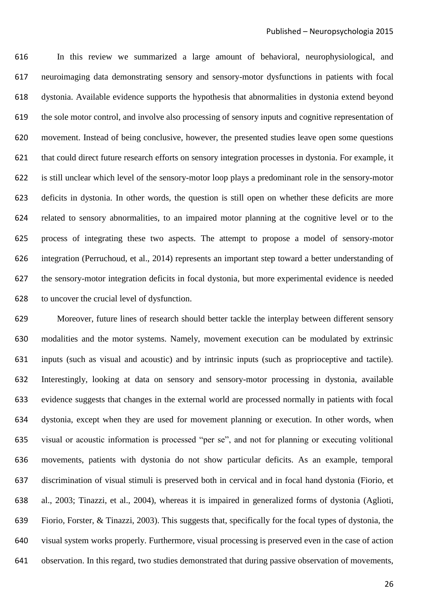In this review we summarized a large amount of behavioral, neurophysiological, and neuroimaging data demonstrating sensory and sensory-motor dysfunctions in patients with focal dystonia. Available evidence supports the hypothesis that abnormalities in dystonia extend beyond the sole motor control, and involve also processing of sensory inputs and cognitive representation of movement. Instead of being conclusive, however, the presented studies leave open some questions that could direct future research efforts on sensory integration processes in dystonia. For example, it is still unclear which level of the sensory-motor loop plays a predominant role in the sensory-motor deficits in dystonia. In other words, the question is still open on whether these deficits are more related to sensory abnormalities, to an impaired motor planning at the cognitive level or to the process of integrating these two aspects. The attempt to propose a model of sensory-motor integration [\(Perruchoud, et al., 2014\)](#page-35-0) represents an important step toward a better understanding of the sensory-motor integration deficits in focal dystonia, but more experimental evidence is needed to uncover the crucial level of dysfunction.

 Moreover, future lines of research should better tackle the interplay between different sensory modalities and the motor systems. Namely, movement execution can be modulated by extrinsic inputs (such as visual and acoustic) and by intrinsic inputs (such as proprioceptive and tactile). Interestingly, looking at data on sensory and sensory-motor processing in dystonia, available evidence suggests that changes in the external world are processed normally in patients with focal dystonia, except when they are used for movement planning or execution. In other words, when visual or acoustic information is processed "per se", and not for planning or executing volitional movements, patients with dystonia do not show particular deficits. As an example, temporal discrimination of visual stimuli is preserved both in cervical and in focal hand dystonia [\(Fiorio, et](#page-32-3)  [al., 2003;](#page-32-3) [Tinazzi, et al., 2004\)](#page-37-6), whereas it is impaired in generalized forms of dystonia [\(Aglioti,](#page-30-20)  [Fiorio, Forster, & Tinazzi, 2003\)](#page-30-20). This suggests that, specifically for the focal types of dystonia, the visual system works properly. Furthermore, visual processing is preserved even in the case of action observation. In this regard, two studies demonstrated that during passive observation of movements,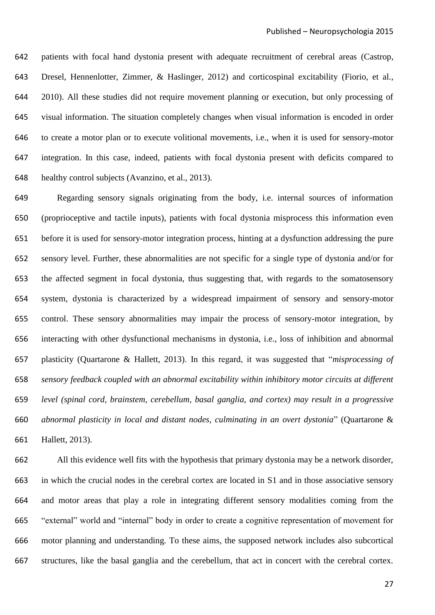patients with focal hand dystonia present with adequate recruitment of cerebral areas [\(Castrop,](#page-31-19)  [Dresel, Hennenlotter, Zimmer, & Haslinger, 2012\)](#page-31-19) and corticospinal excitability [\(Fiorio, et al.,](#page-32-19)  [2010\)](#page-32-19). All these studies did not require movement planning or execution, but only processing of visual information. The situation completely changes when visual information is encoded in order to create a motor plan or to execute volitional movements, i.e., when it is used for sensory-motor integration. In this case, indeed, patients with focal dystonia present with deficits compared to healthy control subjects [\(Avanzino, et al., 2013\)](#page-30-2).

 Regarding sensory signals originating from the body, i.e. internal sources of information (proprioceptive and tactile inputs), patients with focal dystonia misprocess this information even before it is used for sensory-motor integration process, hinting at a dysfunction addressing the pure sensory level. Further, these abnormalities are not specific for a single type of dystonia and/or for the affected segment in focal dystonia, thus suggesting that, with regards to the somatosensory system, dystonia is characterized by a widespread impairment of sensory and sensory-motor control. These sensory abnormalities may impair the process of sensory-motor integration, by interacting with other dysfunctional mechanisms in dystonia, i.e., loss of inhibition and abnormal plasticity [\(Quartarone & Hallett, 2013\)](#page-36-18). In this regard, it was suggested that "*misprocessing of sensory feedback coupled with an abnormal excitability within inhibitory motor circuits at different level (spinal cord, brainstem, cerebellum, basal ganglia, and cortex) may result in a progressive abnormal plasticity in local and distant nodes, culminating in an overt dystonia*" [\(Quartarone &](#page-36-18)  [Hallett, 2013\)](#page-36-18).

 All this evidence well fits with the hypothesis that primary dystonia may be a network disorder, in which the crucial nodes in the cerebral cortex are located in S1 and in those associative sensory and motor areas that play a role in integrating different sensory modalities coming from the "external" world and "internal" body in order to create a cognitive representation of movement for motor planning and understanding. To these aims, the supposed network includes also subcortical structures, like the basal ganglia and the cerebellum, that act in concert with the cerebral cortex.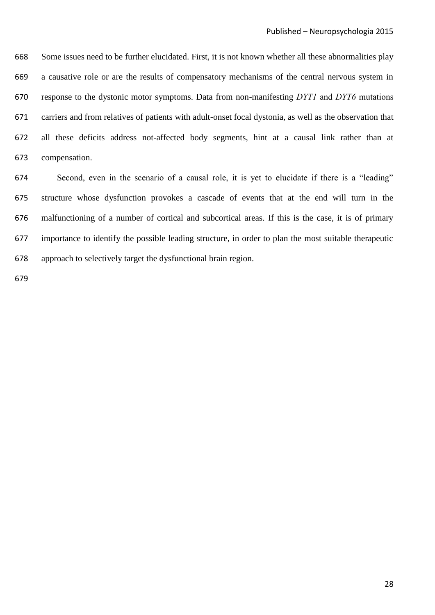Some issues need to be further elucidated. First, it is not known whether all these abnormalities play a causative role or are the results of compensatory mechanisms of the central nervous system in response to the dystonic motor symptoms. Data from non-manifesting *DYT1* and *DYT6* mutations carriers and from relatives of patients with adult-onset focal dystonia, as well as the observation that all these deficits address not-affected body segments, hint at a causal link rather than at compensation.

 Second, even in the scenario of a causal role, it is yet to elucidate if there is a "leading" structure whose dysfunction provokes a cascade of events that at the end will turn in the malfunctioning of a number of cortical and subcortical areas. If this is the case, it is of primary importance to identify the possible leading structure, in order to plan the most suitable therapeutic approach to selectively target the dysfunctional brain region.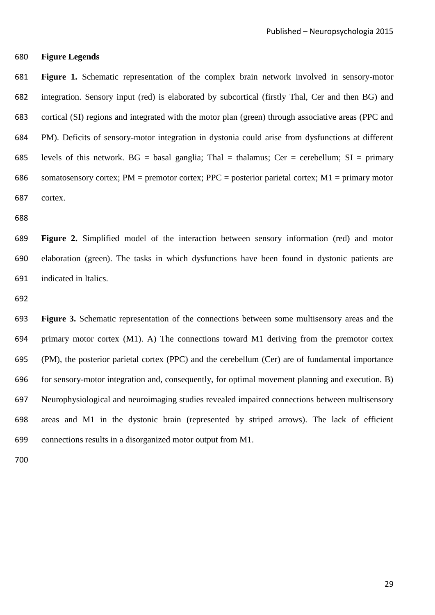**Figure Legends**

 **Figure 1.** Schematic representation of the complex brain network involved in sensory-motor integration. Sensory input (red) is elaborated by subcortical (firstly Thal, Cer and then BG) and cortical (SI) regions and integrated with the motor plan (green) through associative areas (PPC and PM). Deficits of sensory-motor integration in dystonia could arise from dysfunctions at different 685 levels of this network.  $BG = basal$  ganglia; Thal = thalamus; Cer = cerebellum;  $SI = primary$ 686 somatosensory cortex; PM = premotor cortex; PPC = posterior parietal cortex; M1 = primary motor cortex.

 **Figure 2.** Simplified model of the interaction between sensory information (red) and motor elaboration (green). The tasks in which dysfunctions have been found in dystonic patients are indicated in Italics.

 **Figure 3.** Schematic representation of the connections between some multisensory areas and the primary motor cortex (M1). A) The connections toward M1 deriving from the premotor cortex (PM), the posterior parietal cortex (PPC) and the cerebellum (Cer) are of fundamental importance for sensory-motor integration and, consequently, for optimal movement planning and execution. B) Neurophysiological and neuroimaging studies revealed impaired connections between multisensory areas and M1 in the dystonic brain (represented by striped arrows). The lack of efficient connections results in a disorganized motor output from M1.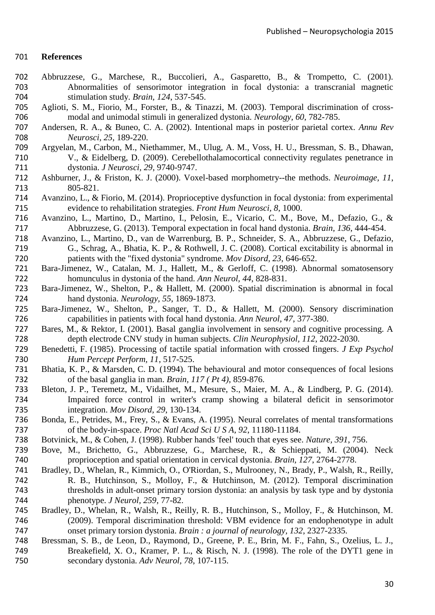# **References**

- <span id="page-30-15"></span> Abbruzzese, G., Marchese, R., Buccolieri, A., Gasparetto, B., & Trompetto, C. (2001). Abnormalities of sensorimotor integration in focal dystonia: a transcranial magnetic stimulation study. *Brain, 124*, 537-545.
- <span id="page-30-20"></span> Aglioti, S. M., Fiorio, M., Forster, B., & Tinazzi, M. (2003). Temporal discrimination of cross-modal and unimodal stimuli in generalized dystonia. *Neurology, 60*, 782-785.
- <span id="page-30-3"></span> Andersen, R. A., & Buneo, C. A. (2002). Intentional maps in posterior parietal cortex. *Annu Rev Neurosci, 25*, 189-220.
- <span id="page-30-19"></span> Argyelan, M., Carbon, M., Niethammer, M., Ulug, A. M., Voss, H. U., Bressman, S. B., Dhawan, V., & Eidelberg, D. (2009). Cerebellothalamocortical connectivity regulates penetrance in dystonia. *J Neurosci, 29*, 9740-9747.
- <span id="page-30-14"></span> Ashburner, J., & Friston, K. J. (2000). Voxel-based morphometry--the methods. *Neuroimage, 11*, 805-821.
- <span id="page-30-1"></span> Avanzino, L., & Fiorio, M. (2014). Proprioceptive dysfunction in focal dystonia: from experimental evidence to rehabilitation strategies. *Front Hum Neurosci, 8*, 1000.
- <span id="page-30-2"></span> Avanzino, L., Martino, D., Martino, I., Pelosin, E., Vicario, C. M., Bove, M., Defazio, G., & Abbruzzese, G. (2013). Temporal expectation in focal hand dystonia. *Brain, 136*, 444-454.
- <span id="page-30-16"></span> Avanzino, L., Martino, D., van de Warrenburg, B. P., Schneider, S. A., Abbruzzese, G., Defazio, G., Schrag, A., Bhatia, K. P., & Rothwell, J. C. (2008). Cortical excitability is abnormal in patients with the "fixed dystonia" syndrome. *Mov Disord, 23*, 646-652.
- <span id="page-30-12"></span> Bara-Jimenez, W., Catalan, M. J., Hallett, M., & Gerloff, C. (1998). Abnormal somatosensory homunculus in dystonia of the hand. *Ann Neurol, 44*, 828-831.
- <span id="page-30-4"></span> Bara-Jimenez, W., Shelton, P., & Hallett, M. (2000). Spatial discrimination is abnormal in focal hand dystonia. *Neurology, 55*, 1869-1873.
- <span id="page-30-5"></span> Bara-Jimenez, W., Shelton, P., Sanger, T. D., & Hallett, M. (2000). Sensory discrimination capabilities in patients with focal hand dystonia. *Ann Neurol, 47*, 377-380.
- <span id="page-30-18"></span> Bares, M., & Rektor, I. (2001). Basal ganglia involvement in sensory and cognitive processing. A depth electrode CNV study in human subjects. *Clin Neurophysiol, 112*, 2022-2030.
- <span id="page-30-6"></span> Benedetti, F. (1985). Processing of tactile spatial information with crossed fingers. *J Exp Psychol Hum Percept Perform, 11*, 517-525.
- <span id="page-30-0"></span> Bhatia, K. P., & Marsden, C. D. (1994). The behavioural and motor consequences of focal lesions 732 of the basal ganglia in man. *Brain, 117 (Pt 4)*, 859-876.<br>733 Bleton, J. P., Teremetz, M., Vidailhet, M., Mesure, S., Maier,
- <span id="page-30-11"></span>Bleton, J. P., Teremetz, M., Vidailhet, M., Mesure, S., Maier, M. A., & Lindberg, P. G. (2014). Impaired force control in writer's cramp showing a bilateral deficit in sensorimotor integration. *Mov Disord, 29*, 130-134.
- <span id="page-30-13"></span> Bonda, E., Petrides, M., Frey, S., & Evans, A. (1995). Neural correlates of mental transformations of the body-in-space. *Proc Natl Acad Sci U S A, 92*, 11180-11184.
- <span id="page-30-10"></span>Botvinick, M., & Cohen, J. (1998). Rubber hands 'feel' touch that eyes see. *Nature, 391*, 756.
- <span id="page-30-9"></span> Bove, M., Brichetto, G., Abbruzzese, G., Marchese, R., & Schieppati, M. (2004). Neck proprioception and spatial orientation in cervical dystonia. *Brain, 127*, 2764-2778.
- <span id="page-30-7"></span> Bradley, D., Whelan, R., Kimmich, O., O'Riordan, S., Mulrooney, N., Brady, P., Walsh, R., Reilly, R. B., Hutchinson, S., Molloy, F., & Hutchinson, M. (2012). Temporal discrimination thresholds in adult-onset primary torsion dystonia: an analysis by task type and by dystonia phenotype. *J Neurol, 259*, 77-82.
- <span id="page-30-8"></span> Bradley, D., Whelan, R., Walsh, R., Reilly, R. B., Hutchinson, S., Molloy, F., & Hutchinson, M. (2009). Temporal discrimination threshold: VBM evidence for an endophenotype in adult onset primary torsion dystonia. *Brain : a journal of neurology, 132*, 2327-2335.
- <span id="page-30-17"></span> Bressman, S. B., de Leon, D., Raymond, D., Greene, P. E., Brin, M. F., Fahn, S., Ozelius, L. J., Breakefield, X. O., Kramer, P. L., & Risch, N. J. (1998). The role of the DYT1 gene in secondary dystonia. *Adv Neurol, 78*, 107-115.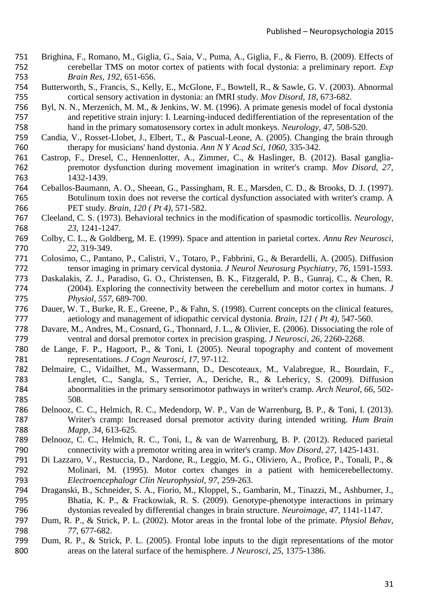- <span id="page-31-15"></span> Brighina, F., Romano, M., Giglia, G., Saia, V., Puma, A., Giglia, F., & Fierro, B. (2009). Effects of cerebellar TMS on motor cortex of patients with focal dystonia: a preliminary report. *Exp Brain Res, 192*, 651-656.
- <span id="page-31-5"></span> Butterworth, S., Francis, S., Kelly, E., McGlone, F., Bowtell, R., & Sawle, G. V. (2003). Abnormal cortical sensory activation in dystonia: an fMRI study. *Mov Disord, 18*, 673-682.
- <span id="page-31-6"></span> Byl, N. N., Merzenich, M. M., & Jenkins, W. M. (1996). A primate genesis model of focal dystonia and repetitive strain injury: I. Learning-induced dedifferentiation of the representation of the hand in the primary somatosensory cortex in adult monkeys. *Neurology, 47*, 508-520.
- <span id="page-31-17"></span> Candia, V., Rosset-Llobet, J., Elbert, T., & Pascual-Leone, A. (2005). Changing the brain through therapy for musicians' hand dystonia. *Ann N Y Acad Sci, 1060*, 335-342.
- <span id="page-31-19"></span> Castrop, F., Dresel, C., Hennenlotter, A., Zimmer, C., & Haslinger, B. (2012). Basal ganglia- premotor dysfunction during movement imagination in writer's cramp. *Mov Disord, 27*, 1432-1439.
- <span id="page-31-7"></span> Ceballos-Baumann, A. O., Sheean, G., Passingham, R. E., Marsden, C. D., & Brooks, D. J. (1997). Botulinum toxin does not reverse the cortical dysfunction associated with writer's cramp. A PET study. *Brain, 120 ( Pt 4)*, 571-582.
- <span id="page-31-18"></span> Cleeland, C. S. (1973). Behavioral technics in the modification of spasmodic torticollis. *Neurology, 23*, 1241-1247.
- <span id="page-31-0"></span> Colby, C. L., & Goldberg, M. E. (1999). Space and attention in parietal cortex. *Annu Rev Neurosci, 22*, 319-349.
- <span id="page-31-12"></span> Colosimo, C., Pantano, P., Calistri, V., Totaro, P., Fabbrini, G., & Berardelli, A. (2005). Diffusion tensor imaging in primary cervical dystonia. *J Neurol Neurosurg Psychiatry, 76*, 1591-1593.
- <span id="page-31-14"></span> Daskalakis, Z. J., Paradiso, G. O., Christensen, B. K., Fitzgerald, P. B., Gunraj, C., & Chen, R. (2004). Exploring the connectivity between the cerebellum and motor cortex in humans. *J Physiol, 557*, 689-700.
- <span id="page-31-4"></span> Dauer, W. T., Burke, R. E., Greene, P., & Fahn, S. (1998). Current concepts on the clinical features, aetiology and management of idiopathic cervical dystonia. *Brain, 121 ( Pt 4)*, 547-560.
- <span id="page-31-1"></span> Davare, M., Andres, M., Cosnard, G., Thonnard, J. L., & Olivier, E. (2006). Dissociating the role of ventral and dorsal premotor cortex in precision grasping. *J Neurosci, 26*, 2260-2268.
- <span id="page-31-11"></span> de Lange, F. P., Hagoort, P., & Toni, I. (2005). Neural topography and content of movement representations. *J Cogn Neurosci, 17*, 97-112.
- <span id="page-31-13"></span> Delmaire, C., Vidailhet, M., Wassermann, D., Descoteaux, M., Valabregue, R., Bourdain, F., Lenglet, C., Sangla, S., Terrier, A., Deriche, R., & Lehericy, S. (2009). Diffusion abnormalities in the primary sensorimotor pathways in writer's cramp. *Arch Neurol, 66*, 502- 508.
- <span id="page-31-2"></span> Delnooz, C. C., Helmich, R. C., Medendorp, W. P., Van de Warrenburg, B. P., & Toni, I. (2013). Writer's cramp: Increased dorsal premotor activity during intended writing. *Hum Brain Mapp, 34*, 613-625.
- <span id="page-31-3"></span> Delnooz, C. C., Helmich, R. C., Toni, I., & van de Warrenburg, B. P. (2012). Reduced parietal connectivity with a premotor writing area in writer's cramp. *Mov Disord, 27*, 1425-1431.
- <span id="page-31-16"></span> Di Lazzaro, V., Restuccia, D., Nardone, R., Leggio, M. G., Oliviero, A., Profice, P., Tonali, P., & Molinari, M. (1995). Motor cortex changes in a patient with hemicerebellectomy. *Electroencephalogr Clin Neurophysiol, 97*, 259-263.
- <span id="page-31-10"></span> Draganski, B., Schneider, S. A., Fiorio, M., Kloppel, S., Gambarin, M., Tinazzi, M., Ashburner, J., Bhatia, K. P., & Frackowiak, R. S. (2009). Genotype-phenotype interactions in primary dystonias revealed by differential changes in brain structure. *Neuroimage, 47*, 1141-1147.
- <span id="page-31-8"></span> Dum, R. P., & Strick, P. L. (2002). Motor areas in the frontal lobe of the primate. *Physiol Behav, 77*, 677-682.
- <span id="page-31-9"></span> Dum, R. P., & Strick, P. L. (2005). Frontal lobe inputs to the digit representations of the motor areas on the lateral surface of the hemisphere. *J Neurosci, 25*, 1375-1386.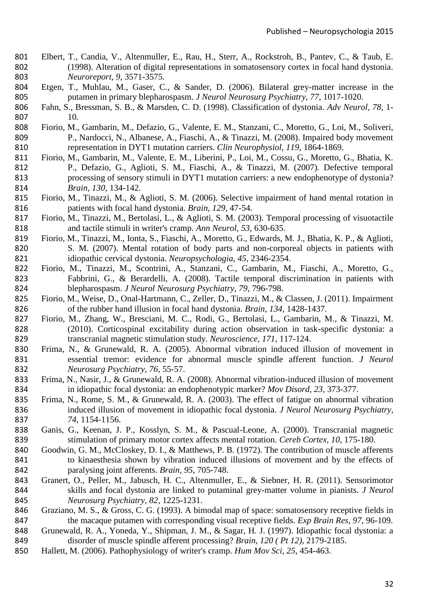- <span id="page-32-13"></span> Elbert, T., Candia, V., Altenmuller, E., Rau, H., Sterr, A., Rockstroh, B., Pantev, C., & Taub, E. (1998). Alteration of digital representations in somatosensory cortex in focal hand dystonia. *Neuroreport, 9*, 3571-3575.
- <span id="page-32-15"></span> Etgen, T., Muhlau, M., Gaser, C., & Sander, D. (2006). Bilateral grey-matter increase in the putamen in primary blepharospasm. *J Neurol Neurosurg Psychiatry, 77*, 1017-1020.
- <span id="page-32-0"></span> Fahn, S., Bressman, S. B., & Marsden, C. D. (1998). Classification of dystonia. *Adv Neurol, 78*, 1- 10.
- <span id="page-32-12"></span> Fiorio, M., Gambarin, M., Defazio, G., Valente, E. M., Stanzani, C., Moretto, G., Loi, M., Soliveri, P., Nardocci, N., Albanese, A., Fiaschi, A., & Tinazzi, M. (2008). Impaired body movement representation in DYT1 mutation carriers. *Clin Neurophysiol, 119*, 1864-1869.
- <span id="page-32-5"></span> Fiorio, M., Gambarin, M., Valente, E. M., Liberini, P., Loi, M., Cossu, G., Moretto, G., Bhatia, K. P., Defazio, G., Aglioti, S. M., Fiaschi, A., & Tinazzi, M. (2007). Defective temporal processing of sensory stimuli in DYT1 mutation carriers: a new endophenotype of dystonia? *Brain, 130*, 134-142.
- <span id="page-32-1"></span> Fiorio, M., Tinazzi, M., & Aglioti, S. M. (2006). Selective impairment of hand mental rotation in patients with focal hand dystonia. *Brain, 129*, 47-54.
- <span id="page-32-3"></span> Fiorio, M., Tinazzi, M., Bertolasi, L., & Aglioti, S. M. (2003). Temporal processing of visuotactile and tactile stimuli in writer's cramp. *Ann Neurol, 53*, 630-635.
- <span id="page-32-11"></span> Fiorio, M., Tinazzi, M., Ionta, S., Fiaschi, A., Moretto, G., Edwards, M. J., Bhatia, K. P., & Aglioti, S. M. (2007). Mental rotation of body parts and non-corporeal objects in patients with idiopathic cervical dystonia. *Neuropsychologia, 45*, 2346-2354.
- <span id="page-32-4"></span> Fiorio, M., Tinazzi, M., Scontrini, A., Stanzani, C., Gambarin, M., Fiaschi, A., Moretto, G., Fabbrini, G., & Berardelli, A. (2008). Tactile temporal discrimination in patients with blepharospasm. *J Neurol Neurosurg Psychiatry, 79*, 796-798.
- <span id="page-32-10"></span> Fiorio, M., Weise, D., Onal-Hartmann, C., Zeller, D., Tinazzi, M., & Classen, J. (2011). Impairment of the rubber hand illusion in focal hand dystonia. *Brain, 134*, 1428-1437.
- <span id="page-32-19"></span> Fiorio, M., Zhang, W., Bresciani, M. C., Rodi, G., Bertolasi, L., Gambarin, M., & Tinazzi, M. (2010). Corticospinal excitability during action observation in task-specific dystonia: a transcranial magnetic stimulation study. *Neuroscience, 171*, 117-124.
- <span id="page-32-6"></span> Frima, N., & Grunewald, R. A. (2005). Abnormal vibration induced illusion of movement in essential tremor: evidence for abnormal muscle spindle afferent function. *J Neurol Neurosurg Psychiatry, 76*, 55-57.
- <span id="page-32-7"></span> Frima, N., Nasir, J., & Grunewald, R. A. (2008). Abnormal vibration-induced illusion of movement in idiopathic focal dystonia: an endophenotypic marker? *Mov Disord, 23*, 373-377.
- <span id="page-32-8"></span> Frima, N., Rome, S. M., & Grunewald, R. A. (2003). The effect of fatigue on abnormal vibration induced illusion of movement in idiopathic focal dystonia. *J Neurol Neurosurg Psychiatry, 74*, 1154-1156.
- <span id="page-32-14"></span> Ganis, G., Keenan, J. P., Kosslyn, S. M., & Pascual-Leone, A. (2000). Transcranial magnetic stimulation of primary motor cortex affects mental rotation. *Cereb Cortex, 10*, 175-180.
- <span id="page-32-2"></span>840 Goodwin, G. M., McCloskey, D. I., & Matthews, P. B. (1972). The contribution of muscle afferents to kinaesthesia shown by vibration induced illusions of movement and by the effects of paralysing joint afferents. *Brain, 95*, 705-748.
- <span id="page-32-16"></span> Granert, O., Peller, M., Jabusch, H. C., Altenmuller, E., & Siebner, H. R. (2011). Sensorimotor skills and focal dystonia are linked to putaminal grey-matter volume in pianists. *J Neurol Neurosurg Psychiatry, 82*, 1225-1231.
- <span id="page-32-17"></span> Graziano, M. S., & Gross, C. G. (1993). A bimodal map of space: somatosensory receptive fields in the macaque putamen with corresponding visual receptive fields. *Exp Brain Res, 97*, 96-109.
- <span id="page-32-9"></span> Grunewald, R. A., Yoneda, Y., Shipman, J. M., & Sagar, H. J. (1997). Idiopathic focal dystonia: a disorder of muscle spindle afferent processing? *Brain, 120 ( Pt 12)*, 2179-2185.
- <span id="page-32-18"></span>Hallett, M. (2006). Pathophysiology of writer's cramp. *Hum Mov Sci, 25*, 454-463.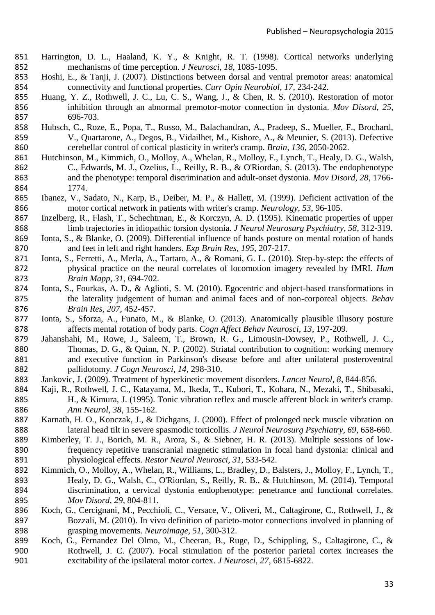- <span id="page-33-15"></span> Harrington, D. L., Haaland, K. Y., & Knight, R. T. (1998). Cortical networks underlying mechanisms of time perception. *J Neurosci, 18*, 1085-1095.
- <span id="page-33-1"></span> Hoshi, E., & Tanji, J. (2007). Distinctions between dorsal and ventral premotor areas: anatomical connectivity and functional properties. *Curr Opin Neurobiol, 17*, 234-242.
- <span id="page-33-14"></span> Huang, Y. Z., Rothwell, J. C., Lu, C. S., Wang, J., & Chen, R. S. (2010). Restoration of motor inhibition through an abnormal premotor-motor connection in dystonia. *Mov Disord, 25*, 696-703.
- <span id="page-33-17"></span> Hubsch, C., Roze, E., Popa, T., Russo, M., Balachandran, A., Pradeep, S., Mueller, F., Brochard, V., Quartarone, A., Degos, B., Vidailhet, M., Kishore, A., & Meunier, S. (2013). Defective cerebellar control of cortical plasticity in writer's cramp. *Brain, 136*, 2050-2062.
- <span id="page-33-2"></span> Hutchinson, M., Kimmich, O., Molloy, A., Whelan, R., Molloy, F., Lynch, T., Healy, D. G., Walsh, C., Edwards, M. J., Ozelius, L., Reilly, R. B., & O'Riordan, S. (2013). The endophenotype and the phenotype: temporal discrimination and adult-onset dystonia. *Mov Disord, 28*, 1766- 1774.
- <span id="page-33-11"></span> Ibanez, V., Sadato, N., Karp, B., Deiber, M. P., & Hallett, M. (1999). Deficient activation of the motor cortical network in patients with writer's cramp. *Neurology, 53*, 96-105.
- <span id="page-33-10"></span> Inzelberg, R., Flash, T., Schechtman, E., & Korczyn, A. D. (1995). Kinematic properties of upper limb trajectories in idiopathic torsion dystonia. *J Neurol Neurosurg Psychiatry, 58*, 312-319.
- <span id="page-33-7"></span> Ionta, S., & Blanke, O. (2009). Differential influence of hands posture on mental rotation of hands and feet in left and right handers. *Exp Brain Res, 195*, 207-217.
- <span id="page-33-4"></span> Ionta, S., Ferretti, A., Merla, A., Tartaro, A., & Romani, G. L. (2010). Step-by-step: the effects of physical practice on the neural correlates of locomotion imagery revealed by fMRI. *Hum Brain Mapp, 31*, 694-702.
- <span id="page-33-8"></span> Ionta, S., Fourkas, A. D., & Aglioti, S. M. (2010). Egocentric and object-based transformations in the laterality judgement of human and animal faces and of non-corporeal objects. *Behav Brain Res, 207*, 452-457.
- <span id="page-33-6"></span> Ionta, S., Sforza, A., Funato, M., & Blanke, O. (2013). Anatomically plausible illusory posture affects mental rotation of body parts. *Cogn Affect Behav Neurosci, 13*, 197-209.
- <span id="page-33-16"></span> Jahanshahi, M., Rowe, J., Saleem, T., Brown, R. G., Limousin-Dowsey, P., Rothwell, J. C., 880 Thomas, D. G., & Quinn, N. P. (2002). Striatal contribution to cognition: working memory and executive function in Parkinson's disease before and after unilateral posteroventral pallidotomy. *J Cogn Neurosci, 14*, 298-310.
- <span id="page-33-0"></span>Jankovic, J. (2009). Treatment of hyperkinetic movement disorders. *Lancet Neurol, 8*, 844-856.
- <span id="page-33-5"></span> Kaji, R., Rothwell, J. C., Katayama, M., Ikeda, T., Kubori, T., Kohara, N., Mezaki, T., Shibasaki, H., & Kimura, J. (1995). Tonic vibration reflex and muscle afferent block in writer's cramp. *Ann Neurol, 38*, 155-162.
- <span id="page-33-9"></span> Karnath, H. O., Konczak, J., & Dichgans, J. (2000). Effect of prolonged neck muscle vibration on lateral head tilt in severe spasmodic torticollis. *J Neurol Neurosurg Psychiatry, 69*, 658-660.
- <span id="page-33-18"></span> Kimberley, T. J., Borich, M. R., Arora, S., & Siebner, H. R. (2013). Multiple sessions of low- frequency repetitive transcranial magnetic stimulation in focal hand dystonia: clinical and physiological effects. *Restor Neurol Neurosci, 31*, 533-542.
- <span id="page-33-3"></span> Kimmich, O., Molloy, A., Whelan, R., Williams, L., Bradley, D., Balsters, J., Molloy, F., Lynch, T., Healy, D. G., Walsh, C., O'Riordan, S., Reilly, R. B., & Hutchinson, M. (2014). Temporal discrimination, a cervical dystonia endophenotype: penetrance and functional correlates. *Mov Disord, 29*, 804-811.
- <span id="page-33-13"></span> Koch, G., Cercignani, M., Pecchioli, C., Versace, V., Oliveri, M., Caltagirone, C., Rothwell, J., & Bozzali, M. (2010). In vivo definition of parieto-motor connections involved in planning of grasping movements. *Neuroimage, 51*, 300-312.
- <span id="page-33-12"></span> Koch, G., Fernandez Del Olmo, M., Cheeran, B., Ruge, D., Schippling, S., Caltagirone, C., & Rothwell, J. C. (2007). Focal stimulation of the posterior parietal cortex increases the excitability of the ipsilateral motor cortex. *J Neurosci, 27*, 6815-6822.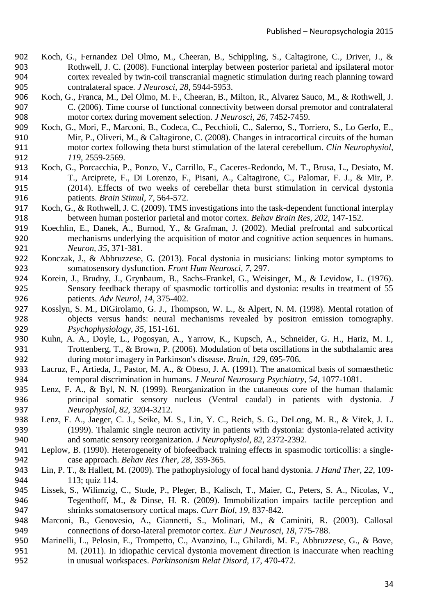- <span id="page-34-6"></span> Koch, G., Fernandez Del Olmo, M., Cheeran, B., Schippling, S., Caltagirone, C., Driver, J., & Rothwell, J. C. (2008). Functional interplay between posterior parietal and ipsilateral motor cortex revealed by twin-coil transcranial magnetic stimulation during reach planning toward contralateral space. *J Neurosci, 28*, 5944-5953.
- <span id="page-34-7"></span> Koch, G., Franca, M., Del Olmo, M. F., Cheeran, B., Milton, R., Alvarez Sauco, M., & Rothwell, J. C. (2006). Time course of functional connectivity between dorsal premotor and contralateral motor cortex during movement selection. *J Neurosci, 26*, 7452-7459.
- <span id="page-34-12"></span> Koch, G., Mori, F., Marconi, B., Codeca, C., Pecchioli, C., Salerno, S., Torriero, S., Lo Gerfo, E., Mir, P., Oliveri, M., & Caltagirone, C. (2008). Changes in intracortical circuits of the human motor cortex following theta burst stimulation of the lateral cerebellum. *Clin Neurophysiol, 119*, 2559-2569.
- <span id="page-34-14"></span> Koch, G., Porcacchia, P., Ponzo, V., Carrillo, F., Caceres-Redondo, M. T., Brusa, L., Desiato, M. T., Arciprete, F., Di Lorenzo, F., Pisani, A., Caltagirone, C., Palomar, F. J., & Mir, P. (2014). Effects of two weeks of cerebellar theta burst stimulation in cervical dystonia patients. *Brain Stimul, 7*, 564-572.
- <span id="page-34-5"></span> Koch, G., & Rothwell, J. C. (2009). TMS investigations into the task-dependent functional interplay between human posterior parietal and motor cortex. *Behav Brain Res, 202*, 147-152.
- <span id="page-34-10"></span> Koechlin, E., Danek, A., Burnod, Y., & Grafman, J. (2002). Medial prefrontal and subcortical mechanisms underlying the acquisition of motor and cognitive action sequences in humans. *Neuron, 35*, 371-381.
- <span id="page-34-0"></span> Konczak, J., & Abbruzzese, G. (2013). Focal dystonia in musicians: linking motor symptoms to somatosensory dysfunction. *Front Hum Neurosci, 7*, 297.
- <span id="page-34-16"></span> Korein, J., Brudny, J., Grynbaum, B., Sachs-Frankel, G., Weisinger, M., & Levidow, L. (1976). Sensory feedback therapy of spasmodic torticollis and dystonia: results in treatment of 55 patients. *Adv Neurol, 14*, 375-402.
- <span id="page-34-4"></span> Kosslyn, S. M., DiGirolamo, G. J., Thompson, W. L., & Alpert, N. M. (1998). Mental rotation of objects versus hands: neural mechanisms revealed by positron emission tomography. *Psychophysiology, 35*, 151-161.
- <span id="page-34-11"></span> Kuhn, A. A., Doyle, L., Pogosyan, A., Yarrow, K., Kupsch, A., Schneider, G. H., Hariz, M. I., Trottenberg, T., & Brown, P. (2006). Modulation of beta oscillations in the subthalamic area during motor imagery in Parkinson's disease. *Brain, 129*, 695-706.
- <span id="page-34-9"></span> Lacruz, F., Artieda, J., Pastor, M. A., & Obeso, J. A. (1991). The anatomical basis of somaesthetic temporal discrimination in humans. *J Neurol Neurosurg Psychiatry, 54*, 1077-1081.
- <span id="page-34-2"></span> Lenz, F. A., & Byl, N. N. (1999). Reorganization in the cutaneous core of the human thalamic principal somatic sensory nucleus (Ventral caudal) in patients with dystonia. *J Neurophysiol, 82*, 3204-3212.
- <span id="page-34-3"></span> Lenz, F. A., Jaeger, C. J., Seike, M. S., Lin, Y. C., Reich, S. G., DeLong, M. R., & Vitek, J. L. (1999). Thalamic single neuron activity in patients with dystonia: dystonia-related activity and somatic sensory reorganization. *J Neurophysiol, 82*, 2372-2392.
- <span id="page-34-17"></span> Leplow, B. (1990). Heterogeneity of biofeedback training effects in spasmodic torticollis: a single-case approach. *Behav Res Ther, 28*, 359-365.
- <span id="page-34-13"></span> Lin, P. T., & Hallett, M. (2009). The pathophysiology of focal hand dystonia. *J Hand Ther, 22*, 109- 113; quiz 114.
- <span id="page-34-15"></span> Lissek, S., Wilimzig, C., Stude, P., Pleger, B., Kalisch, T., Maier, C., Peters, S. A., Nicolas, V., Tegenthoff, M., & Dinse, H. R. (2009). Immobilization impairs tactile perception and shrinks somatosensory cortical maps. *Curr Biol, 19*, 837-842.
- <span id="page-34-8"></span> Marconi, B., Genovesio, A., Giannetti, S., Molinari, M., & Caminiti, R. (2003). Callosal connections of dorso-lateral premotor cortex. *Eur J Neurosci, 18*, 775-788.
- <span id="page-34-1"></span> Marinelli, L., Pelosin, E., Trompetto, C., Avanzino, L., Ghilardi, M. F., Abbruzzese, G., & Bove, M. (2011). In idiopathic cervical dystonia movement direction is inaccurate when reaching in unusual workspaces. *Parkinsonism Relat Disord, 17*, 470-472.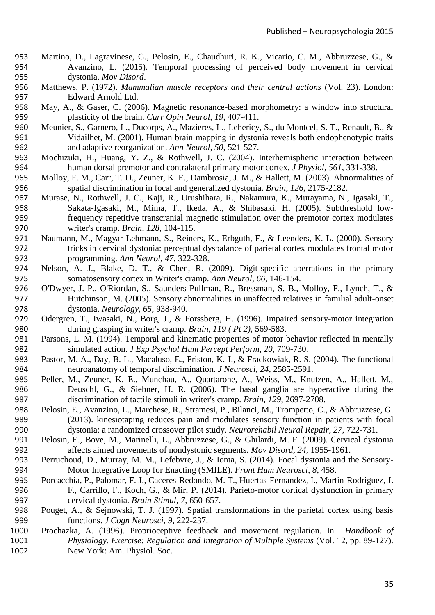- <span id="page-35-7"></span> Martino, D., Lagravinese, G., Pelosin, E., Chaudhuri, R. K., Vicario, C. M., Abbruzzese, G., & Avanzino, L. (2015). Temporal processing of perceived body movement in cervical dystonia. *Mov Disord*.
- <span id="page-35-2"></span> Matthews, P. (1972). *Mammalian muscle receptors and their central actions* (Vol. 23). London: Edward Arnold Ltd.
- <span id="page-35-13"></span> May, A., & Gaser, C. (2006). Magnetic resonance-based morphometry: a window into structural plasticity of the brain. *Curr Opin Neurol, 19*, 407-411.
- <span id="page-35-10"></span> Meunier, S., Garnero, L., Ducorps, A., Mazieres, L., Lehericy, S., du Montcel, S. T., Renault, B., & Vidailhet, M. (2001). Human brain mapping in dystonia reveals both endophenotypic traits and adaptive reorganization. *Ann Neurol, 50*, 521-527.
- <span id="page-35-15"></span> Mochizuki, H., Huang, Y. Z., & Rothwell, J. C. (2004). Interhemispheric interaction between human dorsal premotor and contralateral primary motor cortex. *J Physiol, 561*, 331-338.
- <span id="page-35-4"></span> Molloy, F. M., Carr, T. D., Zeuner, K. E., Dambrosia, J. M., & Hallett, M. (2003). Abnormalities of spatial discrimination in focal and generalized dystonia. *Brain, 126*, 2175-2182.
- <span id="page-35-16"></span> Murase, N., Rothwell, J. C., Kaji, R., Urushihara, R., Nakamura, K., Murayama, N., Igasaki, T., Sakata-Igasaki, M., Mima, T., Ikeda, A., & Shibasaki, H. (2005). Subthreshold low- frequency repetitive transcranial magnetic stimulation over the premotor cortex modulates writer's cramp. *Brain, 128*, 104-115.
- <span id="page-35-12"></span> Naumann, M., Magyar-Lehmann, S., Reiners, K., Erbguth, F., & Leenders, K. L. (2000). Sensory tricks in cervical dystonia: perceptual dysbalance of parietal cortex modulates frontal motor programming. *Ann Neurol, 47*, 322-328.
- <span id="page-35-11"></span> Nelson, A. J., Blake, D. T., & Chen, R. (2009). Digit-specific aberrations in the primary somatosensory cortex in Writer's cramp. *Ann Neurol, 66*, 146-154.
- <span id="page-35-5"></span> O'Dwyer, J. P., O'Riordan, S., Saunders-Pullman, R., Bressman, S. B., Molloy, F., Lynch, T., & Hutchinson, M. (2005). Sensory abnormalities in unaffected relatives in familial adult-onset dystonia. *Neurology, 65*, 938-940.
- <span id="page-35-8"></span> Odergren, T., Iwasaki, N., Borg, J., & Forssberg, H. (1996). Impaired sensory-motor integration during grasping in writer's cramp. *Brain, 119 ( Pt 2)*, 569-583.
- <span id="page-35-6"></span> Parsons, L. M. (1994). Temporal and kinematic properties of motor behavior reflected in mentally simulated action. *J Exp Psychol Hum Percept Perform, 20*, 709-730.
- <span id="page-35-17"></span> Pastor, M. A., Day, B. L., Macaluso, E., Friston, K. J., & Frackowiak, R. S. (2004). The functional neuroanatomy of temporal discrimination. *J Neurosci, 24*, 2585-2591.
- <span id="page-35-18"></span> Peller, M., Zeuner, K. E., Munchau, A., Quartarone, A., Weiss, M., Knutzen, A., Hallett, M., Deuschl, G., & Siebner, H. R. (2006). The basal ganglia are hyperactive during the discrimination of tactile stimuli in writer's cramp. *Brain, 129*, 2697-2708.
- <span id="page-35-19"></span> Pelosin, E., Avanzino, L., Marchese, R., Stramesi, P., Bilanci, M., Trompetto, C., & Abbruzzese, G. (2013). kinesiotaping reduces pain and modulates sensory function in patients with focal dystonia: a randomized crossover pilot study. *Neurorehabil Neural Repair, 27*, 722-731.
- <span id="page-35-9"></span> Pelosin, E., Bove, M., Marinelli, L., Abbruzzese, G., & Ghilardi, M. F. (2009). Cervical dystonia affects aimed movements of nondystonic segments. *Mov Disord, 24*, 1955-1961.
- <span id="page-35-0"></span> Perruchoud, D., Murray, M. M., Lefebvre, J., & Ionta, S. (2014). Focal dystonia and the Sensory-Motor Integrative Loop for Enacting (SMILE). *Front Hum Neurosci, 8*, 458.
- <span id="page-35-14"></span> Porcacchia, P., Palomar, F. J., Caceres-Redondo, M. T., Huertas-Fernandez, I., Martin-Rodriguez, J. F., Carrillo, F., Koch, G., & Mir, P. (2014). Parieto-motor cortical dysfunction in primary cervical dystonia. *Brain Stimul, 7*, 650-657.
- <span id="page-35-1"></span> Pouget, A., & Sejnowski, T. J. (1997). Spatial transformations in the parietal cortex using basis functions. *J Cogn Neurosci, 9*, 222-237.
- <span id="page-35-3"></span> Prochazka, A. (1996). Proprioceptive feedback and movement regulation. In *Handbook of Physiology. Exercise: Regulation and Integration of Multiple Systems* (Vol. 12, pp. 89-127). New York: Am. Physiol. Soc.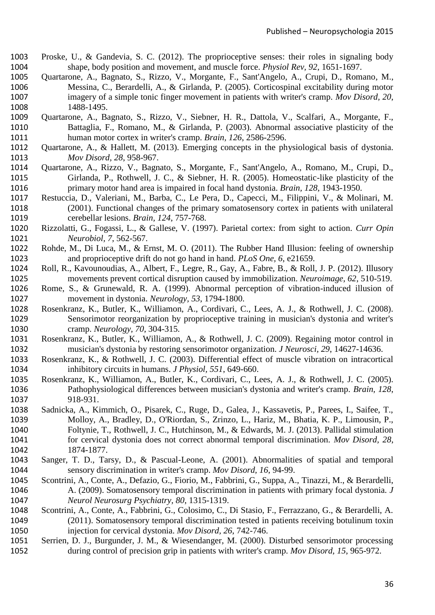- <span id="page-36-1"></span> Proske, U., & Gandevia, S. C. (2012). The proprioceptive senses: their roles in signaling body shape, body position and movement, and muscle force. *Physiol Rev, 92*, 1651-1697.
- <span id="page-36-8"></span> Quartarone, A., Bagnato, S., Rizzo, V., Morgante, F., Sant'Angelo, A., Crupi, D., Romano, M., Messina, C., Berardelli, A., & Girlanda, P. (2005). Corticospinal excitability during motor imagery of a simple tonic finger movement in patients with writer's cramp. *Mov Disord, 20*, 1488-1495.
- <span id="page-36-12"></span> Quartarone, A., Bagnato, S., Rizzo, V., Siebner, H. R., Dattola, V., Scalfari, A., Morgante, F., Battaglia, F., Romano, M., & Girlanda, P. (2003). Abnormal associative plasticity of the human motor cortex in writer's cramp. *Brain, 126*, 2586-2596.
- <span id="page-36-18"></span> Quartarone, A., & Hallett, M. (2013). Emerging concepts in the physiological basis of dystonia. *Mov Disord, 28*, 958-967.
- <span id="page-36-13"></span> Quartarone, A., Rizzo, V., Bagnato, S., Morgante, F., Sant'Angelo, A., Romano, M., Crupi, D., Girlanda, P., Rothwell, J. C., & Siebner, H. R. (2005). Homeostatic-like plasticity of the primary motor hand area is impaired in focal hand dystonia. *Brain, 128*, 1943-1950.
- <span id="page-36-14"></span> Restuccia, D., Valeriani, M., Barba, C., Le Pera, D., Capecci, M., Filippini, V., & Molinari, M. (2001). Functional changes of the primary somatosensory cortex in patients with unilateral cerebellar lesions. *Brain, 124*, 757-768.
- <span id="page-36-0"></span> Rizzolatti, G., Fogassi, L., & Gallese, V. (1997). Parietal cortex: from sight to action. *Curr Opin Neurobiol, 7*, 562-567.
- <span id="page-36-7"></span> Rohde, M., Di Luca, M., & Ernst, M. O. (2011). The Rubber Hand Illusion: feeling of ownership and proprioceptive drift do not go hand in hand. *PLoS One, 6*, e21659.
- <span id="page-36-17"></span> Roll, R., Kavounoudias, A., Albert, F., Legre, R., Gay, A., Fabre, B., & Roll, J. P. (2012). Illusory movements prevent cortical disruption caused by immobilization. *Neuroimage, 62*, 510-519.
- <span id="page-36-6"></span> Rome, S., & Grunewald, R. A. (1999). Abnormal perception of vibration-induced illusion of movement in dystonia. *Neurology, 53*, 1794-1800.
- <span id="page-36-15"></span> Rosenkranz, K., Butler, K., Williamon, A., Cordivari, C., Lees, A. J., & Rothwell, J. C. (2008). Sensorimotor reorganization by proprioceptive training in musician's dystonia and writer's cramp. *Neurology, 70*, 304-315.
- <span id="page-36-16"></span> Rosenkranz, K., Butler, K., Williamon, A., & Rothwell, J. C. (2009). Regaining motor control in musician's dystonia by restoring sensorimotor organization. *J Neurosci, 29*, 14627-14636.
- <span id="page-36-10"></span> Rosenkranz, K., & Rothwell, J. C. (2003). Differential effect of muscle vibration on intracortical inhibitory circuits in humans. *J Physiol, 551*, 649-660.
- <span id="page-36-11"></span> Rosenkranz, K., Williamon, A., Butler, K., Cordivari, C., Lees, A. J., & Rothwell, J. C. (2005). Pathophysiological differences between musician's dystonia and writer's cramp. *Brain, 128*, 918-931.
- <span id="page-36-4"></span> Sadnicka, A., Kimmich, O., Pisarek, C., Ruge, D., Galea, J., Kassavetis, P., Parees, I., Saifee, T., Molloy, A., Bradley, D., O'Riordan, S., Zrinzo, L., Hariz, M., Bhatia, K. P., Limousin, P., Foltynie, T., Rothwell, J. C., Hutchinson, M., & Edwards, M. J. (2013). Pallidal stimulation for cervical dystonia does not correct abnormal temporal discrimination. *Mov Disord, 28*, 1874-1877.
- <span id="page-36-2"></span> Sanger, T. D., Tarsy, D., & Pascual-Leone, A. (2001). Abnormalities of spatial and temporal sensory discrimination in writer's cramp. *Mov Disord, 16*, 94-99.
- <span id="page-36-3"></span> Scontrini, A., Conte, A., Defazio, G., Fiorio, M., Fabbrini, G., Suppa, A., Tinazzi, M., & Berardelli, A. (2009). Somatosensory temporal discrimination in patients with primary focal dystonia. *J Neurol Neurosurg Psychiatry, 80*, 1315-1319.
- <span id="page-36-5"></span> Scontrini, A., Conte, A., Fabbrini, G., Colosimo, C., Di Stasio, F., Ferrazzano, G., & Berardelli, A. (2011). Somatosensory temporal discrimination tested in patients receiving botulinum toxin injection for cervical dystonia. *Mov Disord, 26*, 742-746.
- <span id="page-36-9"></span> Serrien, D. J., Burgunder, J. M., & Wiesendanger, M. (2000). Disturbed sensorimotor processing during control of precision grip in patients with writer's cramp. *Mov Disord, 15*, 965-972.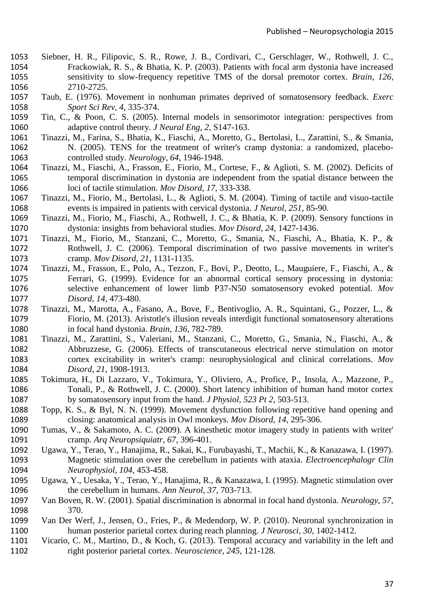- <span id="page-37-14"></span> Siebner, H. R., Filipovic, S. R., Rowe, J. B., Cordivari, C., Gerschlager, W., Rothwell, J. C., Frackowiak, R. S., & Bhatia, K. P. (2003). Patients with focal arm dystonia have increased sensitivity to slow-frequency repetitive TMS of the dorsal premotor cortex. *Brain, 126*, 2710-2725.
- <span id="page-37-1"></span> Taub, E. (1976). Movement in nonhuman primates deprived of somatosensory feedback. *Exerc Sport Sci Rev, 4*, 335-374.
- <span id="page-37-2"></span> Tin, C., & Poon, C. S. (2005). Internal models in sensorimotor integration: perspectives from adaptive control theory. *J Neural Eng, 2*, S147-163.
- <span id="page-37-17"></span> Tinazzi, M., Farina, S., Bhatia, K., Fiaschi, A., Moretto, G., Bertolasi, L., Zarattini, S., & Smania, N. (2005). TENS for the treatment of writer's cramp dystonia: a randomized, placebo-controlled study. *Neurology, 64*, 1946-1948.
- <span id="page-37-4"></span> Tinazzi, M., Fiaschi, A., Frasson, E., Fiorio, M., Cortese, F., & Aglioti, S. M. (2002). Deficits of temporal discrimination in dystonia are independent from the spatial distance between the loci of tactile stimulation. *Mov Disord, 17*, 333-338.
- <span id="page-37-6"></span> Tinazzi, M., Fiorio, M., Bertolasi, L., & Aglioti, S. M. (2004). Timing of tactile and visuo-tactile events is impaired in patients with cervical dystonia. *J Neurol, 251*, 85-90.
- <span id="page-37-0"></span> Tinazzi, M., Fiorio, M., Fiaschi, A., Rothwell, J. C., & Bhatia, K. P. (2009). Sensory functions in dystonia: insights from behavioral studies. *Mov Disord, 24*, 1427-1436.
- <span id="page-37-8"></span> Tinazzi, M., Fiorio, M., Stanzani, C., Moretto, G., Smania, N., Fiaschi, A., Bhatia, K. P., & Rothwell, J. C. (2006). Temporal discrimination of two passive movements in writer's cramp. *Mov Disord, 21*, 1131-1135.
- <span id="page-37-5"></span> Tinazzi, M., Frasson, E., Polo, A., Tezzon, F., Bovi, P., Deotto, L., Mauguiere, F., Fiaschi, A., & Ferrari, G. (1999). Evidence for an abnormal cortical sensory processing in dystonia: selective enhancement of lower limb P37-N50 somatosensory evoked potential. *Mov Disord, 14*, 473-480.
- <span id="page-37-7"></span> Tinazzi, M., Marotta, A., Fasano, A., Bove, F., Bentivoglio, A. R., Squintani, G., Pozzer, L., & Fiorio, M. (2013). Aristotle's illusion reveals interdigit functional somatosensory alterations in focal hand dystonia. *Brain, 136*, 782-789.
- <span id="page-37-18"></span> Tinazzi, M., Zarattini, S., Valeriani, M., Stanzani, C., Moretto, G., Smania, N., Fiaschi, A., & Abbruzzese, G. (2006). Effects of transcutaneous electrical nerve stimulation on motor cortex excitability in writer's cramp: neurophysiological and clinical correlations. *Mov Disord, 21*, 1908-1913.
- <span id="page-37-11"></span> Tokimura, H., Di Lazzaro, V., Tokimura, Y., Oliviero, A., Profice, P., Insola, A., Mazzone, P., Tonali, P., & Rothwell, J. C. (2000). Short latency inhibition of human hand motor cortex by somatosensory input from the hand. *J Physiol, 523 Pt 2*, 503-513.
- <span id="page-37-10"></span> Topp, K. S., & Byl, N. N. (1999). Movement dysfunction following repetitive hand opening and closing: anatomical analysis in Owl monkeys. *Mov Disord, 14*, 295-306.
- <span id="page-37-9"></span> Tumas, V., & Sakamoto, A. C. (2009). A kinesthetic motor imagery study in patients with writer' cramp. *Arq Neuropsiquiatr, 67*, 396-401.
- <span id="page-37-16"></span> Ugawa, Y., Terao, Y., Hanajima, R., Sakai, K., Furubayashi, T., Machii, K., & Kanazawa, I. (1997). Magnetic stimulation over the cerebellum in patients with ataxia. *Electroencephalogr Clin Neurophysiol, 104*, 453-458.
- <span id="page-37-15"></span> Ugawa, Y., Uesaka, Y., Terao, Y., Hanajima, R., & Kanazawa, I. (1995). Magnetic stimulation over the cerebellum in humans. *Ann Neurol, 37*, 703-713.
- <span id="page-37-3"></span> Van Boven, R. W. (2001). Spatial discrimination is abnormal in focal hand dystonia. *Neurology, 57*, 370.
- <span id="page-37-12"></span> Van Der Werf, J., Jensen, O., Fries, P., & Medendorp, W. P. (2010). Neuronal synchronization in human posterior parietal cortex during reach planning. *J Neurosci, 30*, 1402-1412.
- <span id="page-37-13"></span> Vicario, C. M., Martino, D., & Koch, G. (2013). Temporal accuracy and variability in the left and right posterior parietal cortex. *Neuroscience, 245*, 121-128.